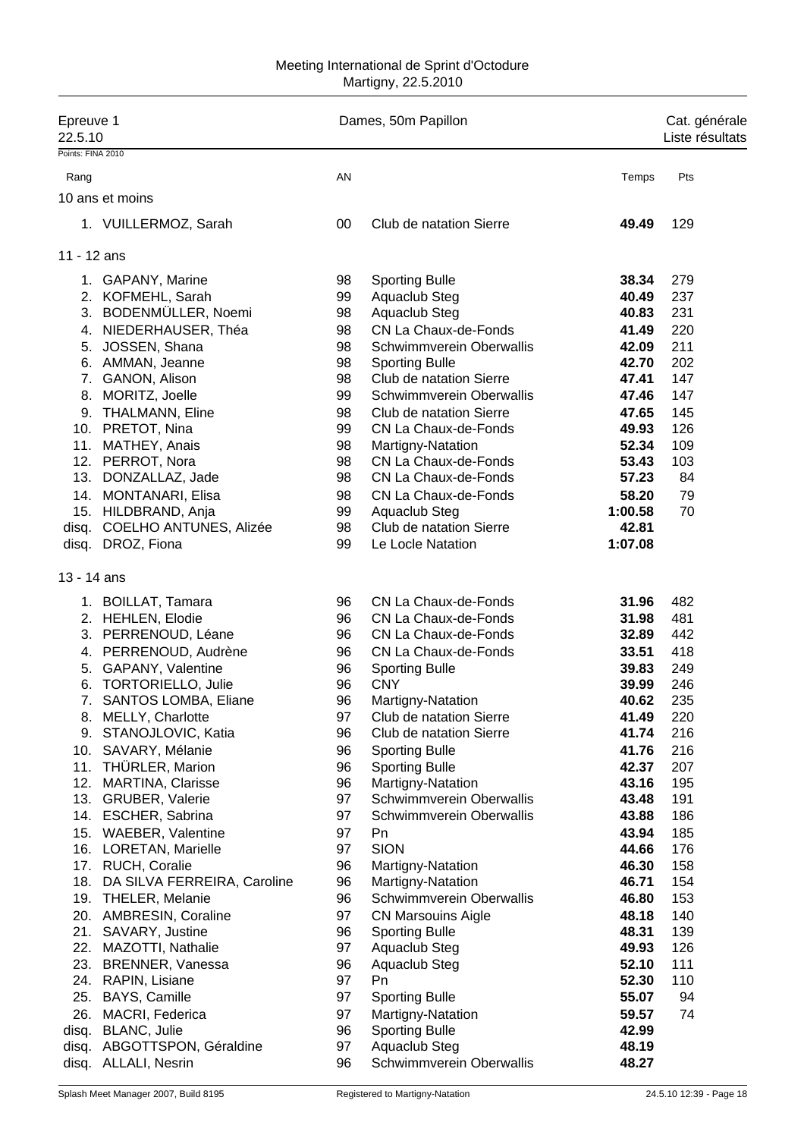#### Meeting International de Sprint d'Octodure Martigny, 22.5.2010

| Epreuve 1<br>22.5.10 |                                              |          | Dames, 50m Papillon                           |                | Cat. générale<br>Liste résultats |
|----------------------|----------------------------------------------|----------|-----------------------------------------------|----------------|----------------------------------|
| Points: FINA 2010    |                                              |          |                                               |                |                                  |
| Rang                 |                                              | AN       |                                               | Temps          | Pts                              |
|                      | 10 ans et moins                              |          |                                               |                |                                  |
|                      |                                              |          |                                               |                |                                  |
|                      | 1. VUILLERMOZ, Sarah                         | 00       | Club de natation Sierre                       | 49.49          | 129                              |
| 11 - 12 ans          |                                              |          |                                               |                |                                  |
|                      | 1. GAPANY, Marine                            | 98       | <b>Sporting Bulle</b>                         | 38.34          | 279                              |
|                      | 2. KOFMEHL, Sarah                            | 99       | Aquaclub Steg                                 | 40.49          | 237                              |
|                      | 3. BODENMÜLLER, Noemi                        | 98       | Aquaclub Steg                                 | 40.83          | 231                              |
|                      | 4. NIEDERHAUSER, Théa                        | 98       | CN La Chaux-de-Fonds                          | 41.49          | 220                              |
|                      | 5. JOSSEN, Shana                             | 98       | Schwimmverein Oberwallis                      | 42.09          | 211                              |
|                      | 6. AMMAN, Jeanne                             | 98       | <b>Sporting Bulle</b>                         | 42.70          | 202                              |
|                      | 7. GANON, Alison                             | 98       | Club de natation Sierre                       | 47.41          | 147                              |
|                      | 8. MORITZ, Joelle                            | 99       | Schwimmverein Oberwallis                      | 47.46          | 147                              |
|                      | 9. THALMANN, Eline                           | 98       | Club de natation Sierre                       | 47.65          | 145                              |
|                      | 10. PRETOT, Nina                             | 99       | CN La Chaux-de-Fonds                          | 49.93          | 126                              |
|                      | 11. MATHEY, Anais                            | 98       | Martigny-Natation                             | 52.34          | 109                              |
|                      | 12. PERROT, Nora                             | 98       | CN La Chaux-de-Fonds                          | 53.43          | 103                              |
|                      | 13. DONZALLAZ, Jade                          | 98       | CN La Chaux-de-Fonds                          | 57.23          | 84                               |
|                      | 14. MONTANARI, Elisa                         | 98       | CN La Chaux-de-Fonds                          | 58.20          | 79                               |
| 15.                  | HILDBRAND, Anja                              | 99       | Aquaclub Steg                                 | 1:00.58        | 70                               |
| disq.                | COELHO ANTUNES, Alizée                       | 98       | Club de natation Sierre                       | 42.81          |                                  |
| disq.                | DROZ, Fiona                                  | 99       | Le Locle Natation                             | 1:07.08        |                                  |
| 13 - 14 ans          |                                              |          |                                               |                |                                  |
|                      | 1. BOILLAT, Tamara                           | 96       | CN La Chaux-de-Fonds                          | 31.96          | 482                              |
|                      | 2. HEHLEN, Elodie                            | 96       | CN La Chaux-de-Fonds                          | 31.98          | 481                              |
|                      | 3. PERRENOUD, Léane                          | 96       | CN La Chaux-de-Fonds                          | 32.89          | 442                              |
|                      | 4. PERRENOUD, Audrène                        | 96       | CN La Chaux-de-Fonds                          | 33.51          | 418                              |
| 5.                   | <b>GAPANY, Valentine</b>                     | 96       | <b>Sporting Bulle</b>                         | 39.83          | 249                              |
| 6.                   | <b>TORTORIELLO, Julie</b>                    | 96       | <b>CNY</b>                                    | 39.99          | 246                              |
|                      | 7. SANTOS LOMBA, Eliane                      | 96       | Martigny-Natation                             | 40.62          | 235                              |
|                      | 8. MELLY, Charlotte                          | 97       | Club de natation Sierre                       | 41.49          | 220                              |
|                      | 9. STANOJLOVIC, Katia                        | 96       | Club de natation Sierre                       | 41.74          | 216                              |
|                      | 10. SAVARY, Mélanie                          | 96       | <b>Sporting Bulle</b>                         | 41.76          | 216                              |
|                      | 11. THÜRLER, Marion                          | 96       | <b>Sporting Bulle</b>                         | 42.37          | 207                              |
|                      | 12. MARTINA, Clarisse<br>13. GRUBER, Valerie | 96<br>97 | Martigny-Natation<br>Schwimmverein Oberwallis | 43.16<br>43.48 | 195<br>191                       |
|                      | 14. ESCHER, Sabrina                          | 97       | Schwimmverein Oberwallis                      | 43.88          | 186                              |
|                      | 15. WAEBER, Valentine                        | 97       | Pn                                            | 43.94          | 185                              |
|                      | 16. LORETAN, Marielle                        | 97       | <b>SION</b>                                   | 44.66          | 176                              |
|                      | 17. RUCH, Coralie                            | 96       | Martigny-Natation                             | 46.30          | 158                              |
|                      | 18. DA SILVA FERREIRA, Caroline              | 96       | Martigny-Natation                             | 46.71          | 154                              |
|                      | 19. THELER, Melanie                          | 96       | Schwimmverein Oberwallis                      | 46.80          | 153                              |
|                      | 20. AMBRESIN, Coraline                       | 97       | <b>CN Marsouins Aigle</b>                     | 48.18          | 140                              |
|                      | 21. SAVARY, Justine                          | 96       | <b>Sporting Bulle</b>                         | 48.31          | 139                              |
|                      | 22. MAZOTTI, Nathalie                        | 97       | Aquaclub Steg                                 | 49.93          | 126                              |
|                      | 23. BRENNER, Vanessa                         | 96       | Aquaclub Steg                                 | 52.10          | 111                              |
|                      | 24. RAPIN, Lisiane                           | 97       | Pn                                            | 52.30          | 110                              |
| 25.                  | BAYS, Camille                                | 97       | <b>Sporting Bulle</b>                         | 55.07          | 94                               |
| 26.                  | MACRI, Federica                              | 97       | Martigny-Natation                             | 59.57          | 74                               |
| disq.                | <b>BLANC, Julie</b>                          | 96       | <b>Sporting Bulle</b>                         | 42.99          |                                  |
| disq.                | ABGOTTSPON, Géraldine                        | 97       | Aquaclub Steg                                 | 48.19          |                                  |
| disq.                | <b>ALLALI, Nesrin</b>                        | 96       | Schwimmverein Oberwallis                      | 48.27          |                                  |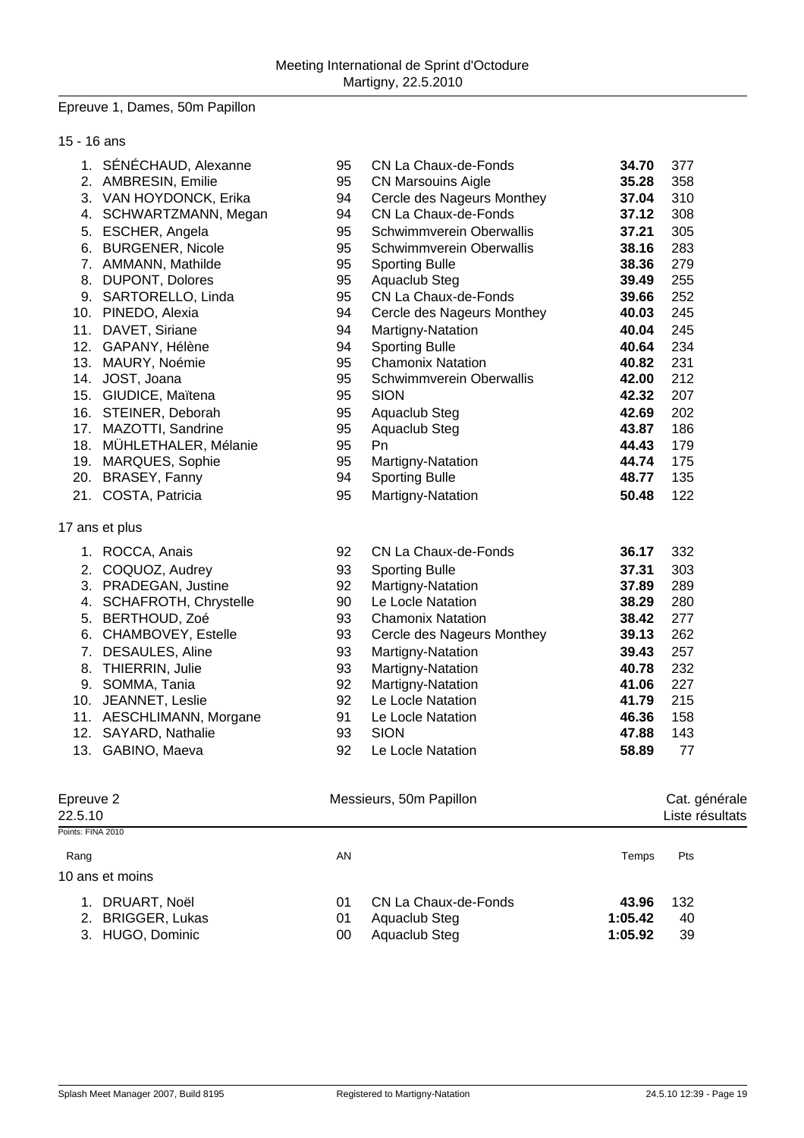### Epreuve 1, Dames, 50m Papillon

| 15 - 16 ans          |                          |    |                            |         |                                  |
|----------------------|--------------------------|----|----------------------------|---------|----------------------------------|
|                      | 1. SÉNÉCHAUD, Alexanne   | 95 | CN La Chaux-de-Fonds       | 34.70   | 377                              |
|                      | 2. AMBRESIN, Emilie      | 95 | <b>CN Marsouins Aigle</b>  | 35.28   | 358                              |
|                      | 3. VAN HOYDONCK, Erika   | 94 | Cercle des Nageurs Monthey | 37.04   | 310                              |
|                      | 4. SCHWARTZMANN, Megan   | 94 | CN La Chaux-de-Fonds       | 37.12   | 308                              |
|                      | 5. ESCHER, Angela        | 95 | Schwimmverein Oberwallis   | 37.21   | 305                              |
|                      | 6. BURGENER, Nicole      | 95 | Schwimmverein Oberwallis   | 38.16   | 283                              |
|                      | 7. AMMANN, Mathilde      | 95 | <b>Sporting Bulle</b>      | 38.36   | 279                              |
|                      | 8. DUPONT, Dolores       | 95 | Aquaclub Steg              | 39.49   | 255                              |
|                      | 9. SARTORELLO, Linda     | 95 | CN La Chaux-de-Fonds       | 39.66   | 252                              |
|                      | 10. PINEDO, Alexia       | 94 | Cercle des Nageurs Monthey | 40.03   | 245                              |
|                      | 11. DAVET, Siriane       | 94 | Martigny-Natation          | 40.04   | 245                              |
|                      | 12. GAPANY, Hélène       | 94 | <b>Sporting Bulle</b>      | 40.64   | 234                              |
|                      | 13. MAURY, Noémie        | 95 | <b>Chamonix Natation</b>   | 40.82   | 231                              |
|                      | 14. JOST, Joana          | 95 | Schwimmverein Oberwallis   | 42.00   | 212                              |
|                      | 15. GIUDICE, Maïtena     | 95 | <b>SION</b>                | 42.32   | 207                              |
|                      | 16. STEINER, Deborah     | 95 | Aquaclub Steg              | 42.69   | 202                              |
|                      | 17. MAZOTTI, Sandrine    | 95 | Aquaclub Steg              | 43.87   | 186                              |
|                      | 18. MÜHLETHALER, Mélanie | 95 | Pn                         | 44.43   | 179                              |
|                      | 19. MARQUES, Sophie      | 95 | Martigny-Natation          | 44.74   | 175                              |
|                      | 20. BRASEY, Fanny        | 94 | <b>Sporting Bulle</b>      | 48.77   | 135                              |
|                      | 21. COSTA, Patricia      | 95 | Martigny-Natation          | 50.48   | 122                              |
|                      | 17 ans et plus           |    |                            |         |                                  |
|                      | 1. ROCCA, Anais          | 92 | CN La Chaux-de-Fonds       | 36.17   | 332                              |
|                      | 2. COQUOZ, Audrey        | 93 | <b>Sporting Bulle</b>      | 37.31   | 303                              |
|                      | 3. PRADEGAN, Justine     | 92 | Martigny-Natation          | 37.89   | 289                              |
|                      | 4. SCHAFROTH, Chrystelle | 90 | Le Locle Natation          | 38.29   | 280                              |
|                      | 5. BERTHOUD, Zoé         | 93 | <b>Chamonix Natation</b>   | 38.42   | 277                              |
|                      | 6. CHAMBOVEY, Estelle    | 93 | Cercle des Nageurs Monthey | 39.13   | 262                              |
|                      | 7. DESAULES, Aline       | 93 | Martigny-Natation          | 39.43   | 257                              |
|                      | 8. THIERRIN, Julie       | 93 | Martigny-Natation          | 40.78   | 232                              |
|                      | 9. SOMMA, Tania          | 92 | Martigny-Natation          | 41.06   | 227                              |
|                      | 10. JEANNET, Leslie      | 92 | Le Locle Natation          | 41.79   | 215                              |
|                      | 11. AESCHLIMANN, Morgane | 91 | Le Locle Natation          | 46.36   | 158                              |
|                      | 12. SAYARD, Nathalie     | 93 | <b>SION</b>                | 47.88   | 143                              |
|                      | 13. GABINO, Maeva        | 92 | Le Locle Natation          | 58.89   | 77                               |
|                      |                          |    |                            |         |                                  |
| Epreuve 2<br>22.5.10 |                          |    | Messieurs, 50m Papillon    |         | Cat. générale<br>Liste résultats |
| Points: FINA 2010    |                          |    |                            |         |                                  |
| Rang                 |                          | AN |                            | Temps   | Pts                              |
|                      | 10 ans et moins          |    |                            |         |                                  |
|                      | 1. DRUART, Noël          | 01 | CN La Chaux-de-Fonds       | 43.96   | 132                              |
|                      | 2. BRIGGER, Lukas        | 01 | Aquaclub Steg              | 1:05.42 | 40                               |
|                      | 3. HUGO, Dominic         | 00 | Aquaclub Steg              | 1:05.92 | 39                               |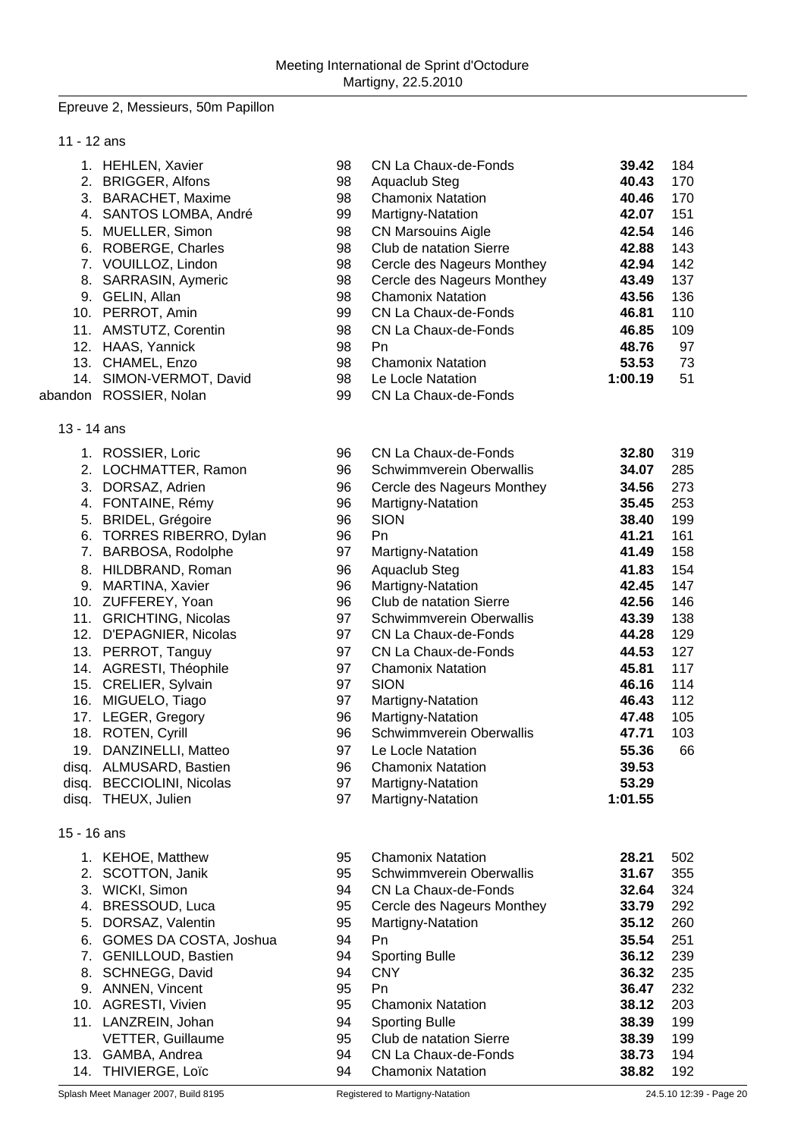#### Epreuve 2, Messieurs, 50m Papillon

| 11 |  |  | 12 ans |
|----|--|--|--------|
|----|--|--|--------|

|             | 1. HEHLEN, Xavier       | 98 | CN La Chaux-de-Fonds       | 39.42   | 184 |
|-------------|-------------------------|----|----------------------------|---------|-----|
| 2.          | <b>BRIGGER, Alfons</b>  | 98 | Aquaclub Steg              | 40.43   | 170 |
| 3.          | <b>BARACHET, Maxime</b> | 98 | <b>Chamonix Natation</b>   | 40.46   | 170 |
| 4.          | SANTOS LOMBA, André     | 99 | Martigny-Natation          | 42.07   | 151 |
| 5.          | MUELLER, Simon          | 98 | <b>CN Marsouins Aigle</b>  | 42.54   | 146 |
| 6.          | ROBERGE, Charles        | 98 | Club de natation Sierre    | 42.88   | 143 |
|             | 7. VOUILLOZ, Lindon     | 98 | Cercle des Nageurs Monthey | 42.94   | 142 |
| 8.          | SARRASIN, Aymeric       | 98 | Cercle des Nageurs Monthey | 43.49   | 137 |
| 9.          | GELIN, Allan            | 98 | <b>Chamonix Natation</b>   | 43.56   | 136 |
| 10.         | PERROT, Amin            | 99 | CN La Chaux-de-Fonds       | 46.81   | 110 |
|             | 11. AMSTUTZ, Corentin   | 98 | CN La Chaux-de-Fonds       | 46.85   | 109 |
| 12.         | HAAS, Yannick           | 98 | Pn.                        | 48.76   | 97  |
|             | 13. CHAMEL, Enzo        | 98 | <b>Chamonix Natation</b>   | 53.53   | 73  |
|             | 14. SIMON-VERMOT, David | 98 | Le Locle Natation          | 1:00.19 | 51  |
|             | abandon ROSSIER, Nolan  | 99 | CN La Chaux-de-Fonds       |         |     |
| 13 - 14 ans |                         |    |                            |         |     |
| 1.          | ROSSIER, Loric          | 96 | CN La Chaux-de-Fonds       | 32.80   | 319 |
|             | 2. LOCHMATTER, Ramon    | 96 | Schwimmverein Oberwallis   | 34.07   | 285 |
| 3.          | DORSAZ, Adrien          | 96 | Cercle des Nageurs Monthey | 34.56   | 273 |

|             | 2. LOCHMATTER, Ramon         | 96 | Schwimmverein Oberwallis   | 34.07   | 285 |
|-------------|------------------------------|----|----------------------------|---------|-----|
| 3.          | DORSAZ, Adrien               | 96 | Cercle des Nageurs Monthey | 34.56   | 273 |
| 4.          | FONTAINE, Rémy               | 96 | Martigny-Natation          | 35.45   | 253 |
| 5.          | <b>BRIDEL, Grégoire</b>      | 96 | <b>SION</b>                | 38.40   | 199 |
| 6.          | <b>TORRES RIBERRO, Dylan</b> | 96 | Pn.                        | 41.21   | 161 |
| 7.          | BARBOSA, Rodolphe            | 97 | Martigny-Natation          | 41.49   | 158 |
| 8.          | HILDBRAND, Roman             | 96 | Aquaclub Steg              | 41.83   | 154 |
| 9.          | MARTINA, Xavier              | 96 | Martigny-Natation          | 42.45   | 147 |
| 10.         | ZUFFEREY, Yoan               | 96 | Club de natation Sierre    | 42.56   | 146 |
| 11.         | <b>GRICHTING, Nicolas</b>    | 97 | Schwimmverein Oberwallis   | 43.39   | 138 |
| 12.         | D'EPAGNIER, Nicolas          | 97 | CN La Chaux-de-Fonds       | 44.28   | 129 |
| 13.         | PERROT, Tanguy               | 97 | CN La Chaux-de-Fonds       | 44.53   | 127 |
| 14.         | AGRESTI, Théophile           | 97 | <b>Chamonix Natation</b>   | 45.81   | 117 |
| 15.         | CRELIER, Sylvain             | 97 | <b>SION</b>                | 46.16   | 114 |
| 16.         | MIGUELO, Tiago               | 97 | Martigny-Natation          | 46.43   | 112 |
| 17.         | LEGER, Gregory               | 96 | Martigny-Natation          | 47.48   | 105 |
| 18.         | ROTEN, Cyrill                | 96 | Schwimmverein Oberwallis   | 47.71   | 103 |
| 19.         | DANZINELLI, Matteo           | 97 | Le Locle Natation          | 55.36   | 66  |
| disq.       | ALMUSARD, Bastien            | 96 | <b>Chamonix Natation</b>   | 39.53   |     |
| disq.       | <b>BECCIOLINI, Nicolas</b>   | 97 | Martigny-Natation          | 53.29   |     |
| disg.       | THEUX, Julien                | 97 | Martigny-Natation          | 1:01.55 |     |
| 15 - 16 ans |                              |    |                            |         |     |
|             | 1 KEHOE Matthew              | Q5 | Chamoniy Natation          | 28.21   | 502 |

|    | <b>KEHOE, Matthew</b>     | 95 | <b>Chamonix Natation</b>   | 28.21 | 502 |
|----|---------------------------|----|----------------------------|-------|-----|
| 2. | SCOTTON, Janik            | 95 | Schwimmverein Oberwallis   | 31.67 | 355 |
|    | 3. WICKI, Simon           | 94 | CN La Chaux-de-Fonds       | 32.64 | 324 |
| 4. | BRESSOUD, Luca            | 95 | Cercle des Nageurs Monthey | 33.79 | 292 |
|    | 5. DORSAZ, Valentin       | 95 | Martigny-Natation          | 35.12 | 260 |
|    | 6. GOMES DA COSTA, Joshua | 94 | Pn                         | 35.54 | 251 |
|    | 7. GENILLOUD, Bastien     | 94 | <b>Sporting Bulle</b>      | 36.12 | 239 |
|    | 8. SCHNEGG, David         | 94 | <b>CNY</b>                 | 36.32 | 235 |
|    | 9. ANNEN, Vincent         | 95 | Pn                         | 36.47 | 232 |
|    | 10. AGRESTI, Vivien       | 95 | <b>Chamonix Natation</b>   | 38.12 | 203 |
|    | 11. LANZREIN, Johan       | 94 | <b>Sporting Bulle</b>      | 38.39 | 199 |
|    | <b>VETTER, Guillaume</b>  | 95 | Club de natation Sierre    | 38.39 | 199 |
|    | 13. GAMBA, Andrea         | 94 | CN La Chaux-de-Fonds       | 38.73 | 194 |
|    | 14. THIVIERGE, Loïc       | 94 | <b>Chamonix Natation</b>   | 38.82 | 192 |

15 - 16 ans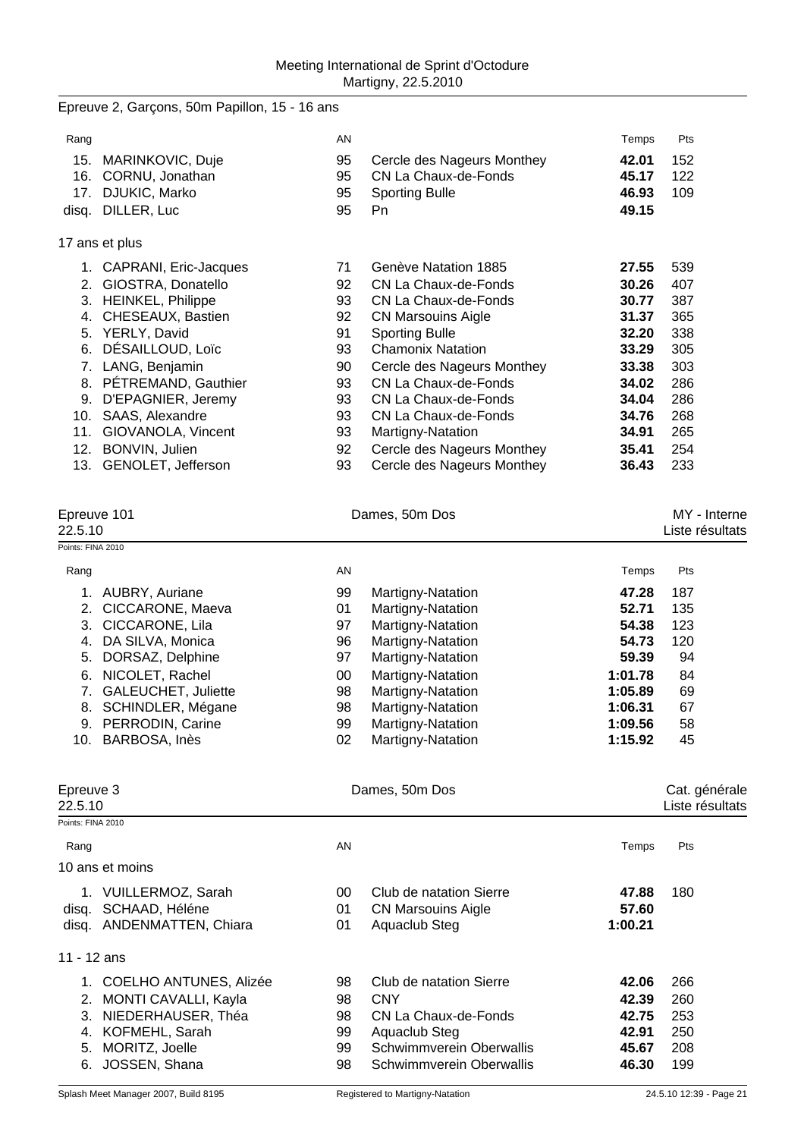|                              | Epreuve 2, Garçons, 50m Papillon, 15 - 16 ans |          |                                                          |                |                 |  |
|------------------------------|-----------------------------------------------|----------|----------------------------------------------------------|----------------|-----------------|--|
| Rang                         |                                               | AN       |                                                          | Temps          | Pts             |  |
|                              | 15. MARINKOVIC, Duje                          | 95       | Cercle des Nageurs Monthey                               | 42.01          | 152             |  |
|                              | 16. CORNU, Jonathan                           | 95       | CN La Chaux-de-Fonds                                     | 45.17          | 122             |  |
|                              | 17. DJUKIC, Marko                             | 95       | <b>Sporting Bulle</b>                                    | 46.93          | 109             |  |
|                              | disq. DILLER, Luc                             | 95       | Pn                                                       | 49.15          |                 |  |
|                              | 17 ans et plus                                |          |                                                          |                |                 |  |
|                              | 1. CAPRANI, Eric-Jacques                      | 71       | Genève Natation 1885                                     | 27.55          | 539             |  |
|                              | 2. GIOSTRA, Donatello                         | 92       | CN La Chaux-de-Fonds                                     | 30.26          | 407             |  |
|                              | 3. HEINKEL, Philippe                          | 93       | CN La Chaux-de-Fonds                                     | 30.77          | 387             |  |
|                              | 4. CHESEAUX, Bastien                          | 92       | <b>CN Marsouins Aigle</b>                                | 31.37          | 365             |  |
|                              | 5. YERLY, David                               | 91       | <b>Sporting Bulle</b>                                    | 32.20          | 338             |  |
|                              | 6. DÉSAILLOUD, Loïc                           | 93       | <b>Chamonix Natation</b>                                 | 33.29          | 305             |  |
|                              | 7. LANG, Benjamin                             | 90       | Cercle des Nageurs Monthey                               | 33.38          | 303             |  |
|                              | 8. PÉTREMAND, Gauthier                        | 93       | CN La Chaux-de-Fonds                                     | 34.02          | 286             |  |
|                              | 9. D'EPAGNIER, Jeremy                         | 93       | CN La Chaux-de-Fonds                                     | 34.04          | 286             |  |
|                              | 10. SAAS, Alexandre                           | 93<br>93 | CN La Chaux-de-Fonds                                     | 34.76<br>34.91 | 268<br>265      |  |
|                              | 11. GIOVANOLA, Vincent<br>12. BONVIN, Julien  | 92       | Martigny-Natation                                        | 35.41          | 254             |  |
|                              | 13. GENOLET, Jefferson                        | 93       | Cercle des Nageurs Monthey<br>Cercle des Nageurs Monthey | 36.43          | 233             |  |
|                              |                                               |          |                                                          |                |                 |  |
| Epreuve 101                  |                                               |          | Dames, 50m Dos                                           |                | MY - Interne    |  |
| 22.5.10<br>Points: FINA 2010 |                                               |          |                                                          |                | Liste résultats |  |
|                              |                                               |          |                                                          |                |                 |  |
| Rang                         |                                               | AN       |                                                          | Temps          | Pts             |  |
|                              | 1. AUBRY, Auriane                             | 99       | Martigny-Natation                                        | 47.28          | 187             |  |
|                              | 2. CICCARONE, Maeva                           | 01       | Martigny-Natation                                        | 52.71          | 135             |  |
|                              | 3. CICCARONE, Lila                            | 97       | Martigny-Natation                                        | 54.38          | 123             |  |
|                              | 4. DA SILVA, Monica                           | 96       | Martigny-Natation                                        | 54.73          | 120             |  |
|                              | 5. DORSAZ, Delphine                           | 97       | Martigny-Natation                                        | 59.39          | 94              |  |
|                              | 6. NICOLET, Rachel                            | $00\,$   | Martigny-Natation                                        | 1:01.78        | 84              |  |
|                              | 7. GALEUCHET, Juliette                        | 98       | Martigny-Natation                                        | 1:05.89        | 69              |  |
|                              | 8. SCHINDLER, Mégane                          | 98       | Martigny-Natation                                        | 1:06.31        | 67              |  |
|                              | 9. PERRODIN, Carine                           | 99       | Martigny-Natation                                        | 1:09.56        | 58              |  |
|                              | 10. BARBOSA, Inès                             | 02       | Martigny-Natation                                        | 1:15.92        | 45              |  |
| Epreuve 3                    |                                               |          | Dames, 50m Dos                                           |                | Cat. générale   |  |
| 22.5.10                      |                                               |          |                                                          |                | Liste résultats |  |
| Points: FINA 2010            |                                               |          |                                                          |                |                 |  |
| Rang                         |                                               | AN       |                                                          | Temps          | Pts             |  |
|                              | 10 ans et moins                               |          |                                                          |                |                 |  |
|                              | 1. VUILLERMOZ, Sarah                          | 00       | Club de natation Sierre                                  | 47.88          | 180             |  |
|                              | disq. SCHAAD, Héléne                          | 01       | <b>CN Marsouins Aigle</b>                                | 57.60          |                 |  |
|                              | disq. ANDENMATTEN, Chiara                     | 01       | Aquaclub Steg                                            | 1:00.21        |                 |  |
| 11 - 12 ans                  |                                               |          |                                                          |                |                 |  |
|                              | 1. COELHO ANTUNES, Alizée                     | 98       | Club de natation Sierre                                  | 42.06          | 266             |  |
|                              | 2. MONTI CAVALLI, Kayla                       | 98       | <b>CNY</b>                                               | 42.39          | 260             |  |
|                              | 3. NIEDERHAUSER, Théa                         | 98       | CN La Chaux-de-Fonds                                     | 42.75          | 253             |  |
|                              | 4. KOFMEHL, Sarah                             | 99       | Aquaclub Steg                                            | 42.91          | 250             |  |
|                              | 5. MORITZ, Joelle                             | 99       | Schwimmverein Oberwallis                                 | 45.67          | 208             |  |
| 6.                           | JOSSEN, Shana                                 | 98       | Schwimmverein Oberwallis                                 | 46.30          | 199             |  |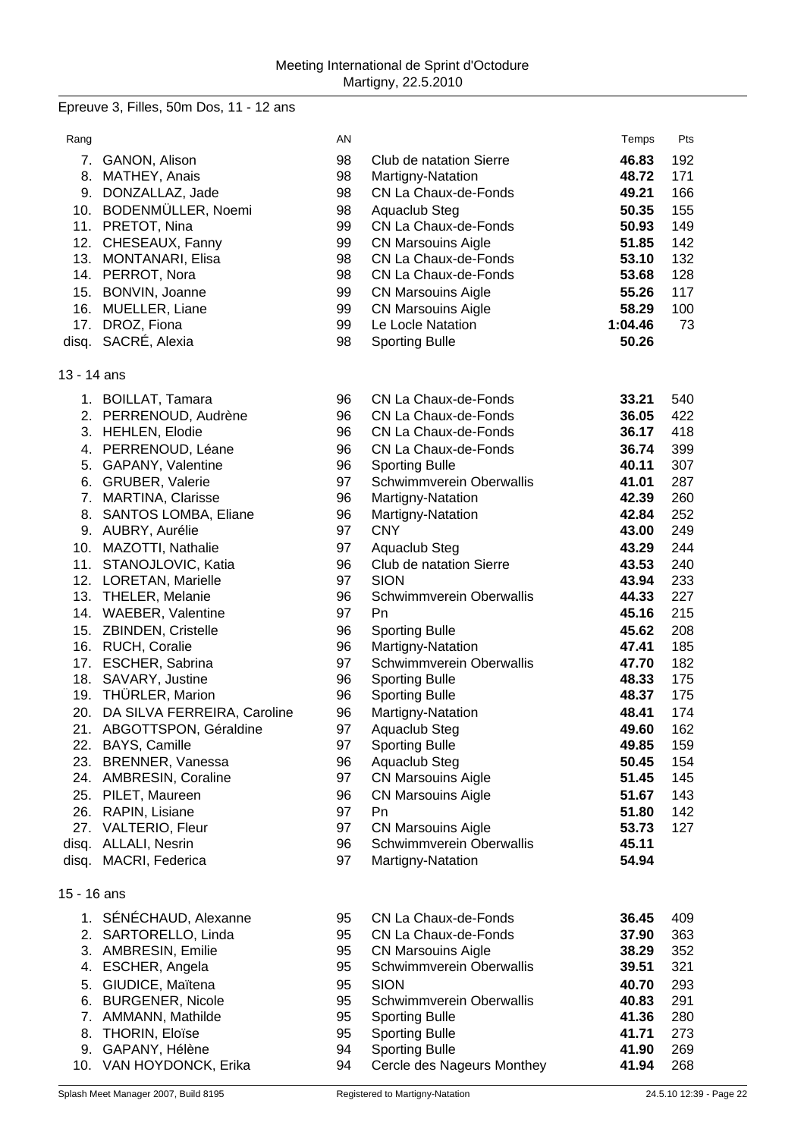Epreuve 3, Filles, 50m Dos, 11 - 12 ans

| Rang        |                                                | AN |                                        | Temps   | Pts                     |
|-------------|------------------------------------------------|----|----------------------------------------|---------|-------------------------|
|             | 7. GANON, Alison                               | 98 | Club de natation Sierre                | 46.83   | 192                     |
|             | 8. MATHEY, Anais                               | 98 | Martigny-Natation                      | 48.72   | 171                     |
|             | 9. DONZALLAZ, Jade                             | 98 | CN La Chaux-de-Fonds                   | 49.21   | 166                     |
|             | 10. BODENMÜLLER, Noemi                         | 98 | Aquaclub Steg                          | 50.35   | 155                     |
|             | 11. PRETOT, Nina                               | 99 | CN La Chaux-de-Fonds                   | 50.93   | 149                     |
|             | 12. CHESEAUX, Fanny                            | 99 | <b>CN Marsouins Aigle</b>              | 51.85   | 142                     |
|             | 13. MONTANARI, Elisa                           | 98 | CN La Chaux-de-Fonds                   | 53.10   | 132                     |
|             | 14. PERROT, Nora                               | 98 | CN La Chaux-de-Fonds                   | 53.68   | 128                     |
|             | 15. BONVIN, Joanne                             | 99 | <b>CN Marsouins Aigle</b>              | 55.26   | 117                     |
|             | 16. MUELLER, Liane                             | 99 | <b>CN Marsouins Aigle</b>              | 58.29   | 100                     |
|             | 17. DROZ, Fiona                                | 99 | Le Locle Natation                      | 1:04.46 | 73                      |
|             | disq. SACRÉ, Alexia                            | 98 | <b>Sporting Bulle</b>                  | 50.26   |                         |
|             |                                                |    |                                        |         |                         |
| 13 - 14 ans |                                                |    |                                        |         |                         |
|             | 1. BOILLAT, Tamara                             | 96 | CN La Chaux-de-Fonds                   | 33.21   | 540                     |
|             | 2. PERRENOUD, Audrène                          | 96 | CN La Chaux-de-Fonds                   | 36.05   | 422                     |
|             | 3. HEHLEN, Elodie                              | 96 | CN La Chaux-de-Fonds                   | 36.17   | 418                     |
|             | 4. PERRENOUD, Léane                            | 96 | CN La Chaux-de-Fonds                   | 36.74   | 399                     |
|             | 5. GAPANY, Valentine                           | 96 | <b>Sporting Bulle</b>                  | 40.11   | 307                     |
|             | 6. GRUBER, Valerie                             | 97 | Schwimmverein Oberwallis               | 41.01   | 287                     |
|             | 7. MARTINA, Clarisse                           | 96 | Martigny-Natation                      | 42.39   | 260                     |
| 8.          | SANTOS LOMBA, Eliane                           | 96 | Martigny-Natation                      | 42.84   | 252                     |
|             | 9. AUBRY, Aurélie                              | 97 | <b>CNY</b>                             | 43.00   | 249                     |
|             | 10. MAZOTTI, Nathalie                          | 97 | Aquaclub Steg                          | 43.29   | 244                     |
|             | 11. STANOJLOVIC, Katia                         | 96 | Club de natation Sierre                | 43.53   | 240                     |
|             | 12. LORETAN, Marielle                          | 97 | <b>SION</b>                            | 43.94   | 233                     |
|             | 13. THELER, Melanie                            | 96 | Schwimmverein Oberwallis               | 44.33   | 227                     |
|             | 14. WAEBER, Valentine                          | 97 | Pn                                     | 45.16   | 215                     |
|             | 15. ZBINDEN, Cristelle                         | 96 | <b>Sporting Bulle</b>                  | 45.62   | 208                     |
|             | 16. RUCH, Coralie                              | 96 | Martigny-Natation                      | 47.41   | 185                     |
|             | 17. ESCHER, Sabrina                            | 97 | Schwimmverein Oberwallis               | 47.70   | 182                     |
|             | 18. SAVARY, Justine                            | 96 | <b>Sporting Bulle</b>                  | 48.33   | 175                     |
|             | 19. THÜRLER, Marion                            | 96 | <b>Sporting Bulle</b>                  | 48.37   | 175                     |
|             | 20. DA SILVA FERREIRA, Caroline                | 96 |                                        | 48.41   | 174                     |
|             |                                                | 97 | Martigny-Natation                      | 49.60   | 162                     |
|             | 21. ABGOTTSPON, Géraldine<br>22. BAYS, Camille |    | Aquaclub Steg<br><b>Sporting Bulle</b> |         |                         |
|             |                                                | 97 |                                        | 49.85   | 159                     |
|             | 23. BRENNER, Vanessa                           | 96 | Aquaclub Steg                          | 50.45   | 154                     |
|             | 24. AMBRESIN, Coraline                         | 97 | <b>CN Marsouins Aigle</b>              | 51.45   | 145                     |
|             | 25. PILET, Maureen                             | 96 | <b>CN Marsouins Aigle</b>              | 51.67   | 143                     |
|             | 26. RAPIN, Lisiane                             | 97 | Pn                                     | 51.80   | 142                     |
|             | 27. VALTERIO, Fleur                            | 97 | <b>CN Marsouins Aigle</b>              | 53.73   | 127                     |
|             | disq. ALLALI, Nesrin                           | 96 | Schwimmverein Oberwallis               | 45.11   |                         |
|             | disq. MACRI, Federica                          | 97 | Martigny-Natation                      | 54.94   |                         |
| 15 - 16 ans |                                                |    |                                        |         |                         |
|             | 1. SÉNÉCHAUD, Alexanne                         | 95 | CN La Chaux-de-Fonds                   | 36.45   | 409                     |
|             | 2. SARTORELLO, Linda                           | 95 | CN La Chaux-de-Fonds                   | 37.90   | 363                     |
|             | 3. AMBRESIN, Emilie                            | 95 | <b>CN Marsouins Aigle</b>              | 38.29   | 352                     |
| 4.          | ESCHER, Angela                                 | 95 | Schwimmverein Oberwallis               | 39.51   | 321                     |
| 5.          | GIUDICE, Maïtena                               | 95 | <b>SION</b>                            | 40.70   | 293                     |
| 6.          | <b>BURGENER, Nicole</b>                        | 95 | Schwimmverein Oberwallis               | 40.83   | 291                     |
| 7.          | AMMANN, Mathilde                               | 95 | <b>Sporting Bulle</b>                  | 41.36   | 280                     |
| 8.          | <b>THORIN, Eloïse</b>                          | 95 | <b>Sporting Bulle</b>                  | 41.71   | 273                     |
|             | 9. GAPANY, Hélène                              | 94 | <b>Sporting Bulle</b>                  | 41.90   | 269                     |
|             | 10. VAN HOYDONCK, Erika                        | 94 | Cercle des Nageurs Monthey             | 41.94   | 268                     |
|             | Splash Meet Manager 2007, Build 8195           |    | Registered to Martigny-Natation        |         | 24.5.10 12:39 - Page 22 |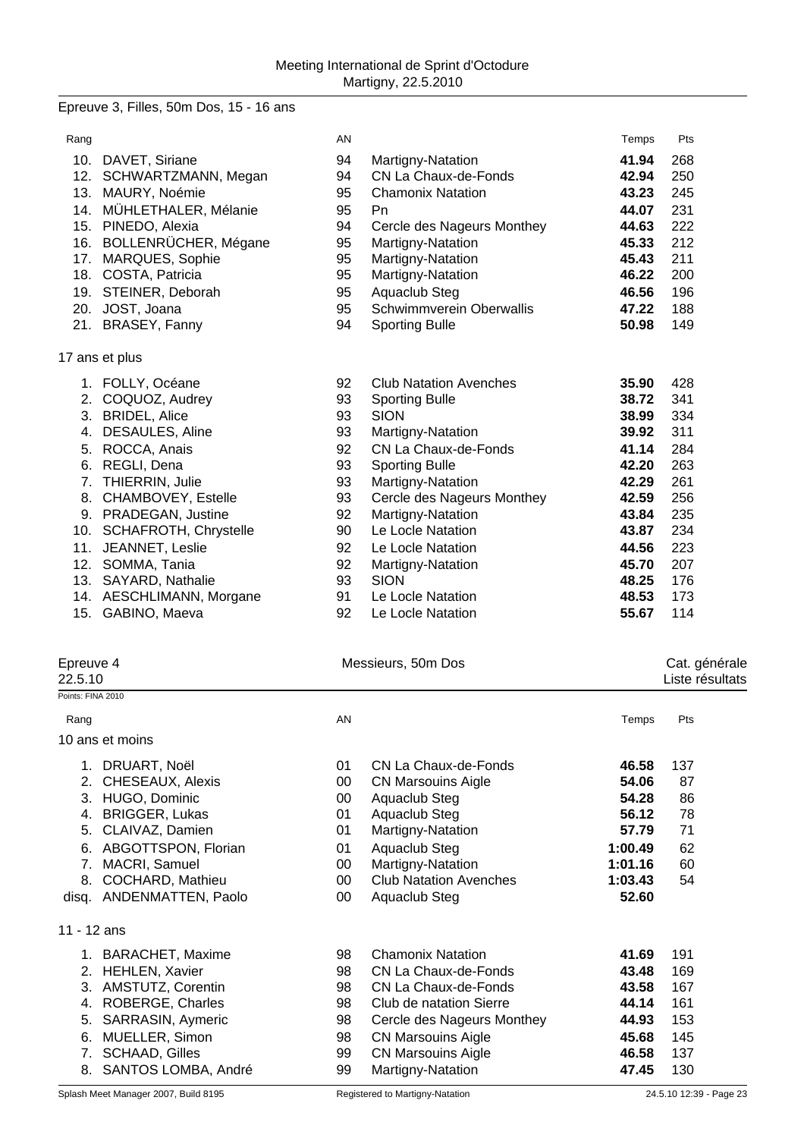### Epreuve 3, Filles, 50m Dos, 15 - 16 ans

| Rang |                         | AN |                               | Temps | Pts |
|------|-------------------------|----|-------------------------------|-------|-----|
|      | 10. DAVET, Siriane      | 94 | Martigny-Natation             | 41.94 | 268 |
|      | 12. SCHWARTZMANN, Megan | 94 | CN La Chaux-de-Fonds          | 42.94 | 250 |
| 13.  | MAURY, Noémie           | 95 | <b>Chamonix Natation</b>      | 43.23 | 245 |
| 14.  | MÜHLETHALER, Mélanie    | 95 | <b>Pn</b>                     | 44.07 | 231 |
| 15.  | PINEDO, Alexia          | 94 | Cercle des Nageurs Monthey    | 44.63 | 222 |
| 16.  | BOLLENRÜCHER, Mégane    | 95 | Martigny-Natation             | 45.33 | 212 |
| 17.  | MARQUES, Sophie         | 95 | Martigny-Natation             | 45.43 | 211 |
| 18.  | COSTA, Patricia         | 95 | Martigny-Natation             | 46.22 | 200 |
| 19.  | STEINER, Deborah        | 95 | Aquaclub Steg                 | 46.56 | 196 |
| 20.  | JOST, Joana             | 95 | Schwimmverein Oberwallis      | 47.22 | 188 |
|      | 21. BRASEY, Fanny       | 94 | <b>Sporting Bulle</b>         | 50.98 | 149 |
|      | 17 ans et plus          |    |                               |       |     |
|      | 1. FOLLY, Océane        | 92 | <b>Club Natation Avenches</b> | 35.90 | 428 |
| 2.   | COQUOZ, Audrey          | 93 | <b>Sporting Bulle</b>         | 38.72 | 341 |
| 3.   | <b>BRIDEL, Alice</b>    | 93 | <b>SION</b>                   | 38.99 | 334 |
| 4.   | DESAULES, Aline         | 93 | Martigny-Natation             | 39.92 | 311 |
| 5.   | ROCCA, Anais            | 92 | CN La Chaux-de-Fonds          | 41.14 | 284 |
| 6.   | REGLI, Dena             | 93 | <b>Sporting Bulle</b>         | 42.20 | 263 |
| 7.   | THIERRIN, Julie         | 93 | Martigny-Natation             | 42.29 | 261 |
| 8.   | CHAMBOVEY, Estelle      | 93 | Cercle des Nageurs Monthey    | 42.59 | 256 |
| 9.   | PRADEGAN, Justine       | 92 | Martigny-Natation             | 43.84 | 235 |
| 10.  | SCHAFROTH, Chrystelle   | 90 | Le Locle Natation             | 43.87 | 234 |
| 11.  | JEANNET, Leslie         | 92 | Le Locle Natation             | 44.56 | 223 |
| 12.  | SOMMA, Tania            | 92 | Martigny-Natation             | 45.70 | 207 |
| 13.  | SAYARD, Nathalie        | 93 | <b>SION</b>                   | 48.25 | 176 |
| 14.  | AESCHLIMANN, Morgane    | 91 | Le Locle Natation             | 48.53 | 173 |
|      | 15. GABINO, Maeva       | 92 | Le Locle Natation             | 55.67 | 114 |
|      |                         |    |                               |       |     |

| Epreuve 4<br>22.5.10 |                       |    | Messieurs, 50m Dos            |         |     |  |
|----------------------|-----------------------|----|-------------------------------|---------|-----|--|
| Points: FINA 2010    |                       |    |                               |         |     |  |
| Rang                 |                       | AN |                               | Temps   | Pts |  |
|                      | 10 ans et moins       |    |                               |         |     |  |
| 1.                   | DRUART, Noël          | 01 | CN La Chaux-de-Fonds          | 46.58   | 137 |  |
| 2.                   | CHESEAUX, Alexis      | 00 | <b>CN Marsouins Aigle</b>     | 54.06   | 87  |  |
| 3.                   | HUGO, Dominic         | 00 | Aquaclub Steg                 | 54.28   | 86  |  |
| 4.                   | <b>BRIGGER, Lukas</b> | 01 | Aquaclub Steg                 | 56.12   | 78  |  |
| 5.                   | CLAIVAZ, Damien       | 01 | Martigny-Natation             | 57.79   | 71  |  |
| 6.                   | ABGOTTSPON, Florian   | 01 | Aquaclub Steg                 | 1:00.49 | 62  |  |
| 7.                   | MACRI, Samuel         | 00 | Martigny-Natation             | 1:01.16 | 60  |  |
| 8.                   | COCHARD, Mathieu      | 00 | <b>Club Natation Avenches</b> | 1:03.43 | 54  |  |
| disg.                | ANDENMATTEN, Paolo    | 00 | Aquaclub Steg                 | 52.60   |     |  |
| 11 - 12 ans          |                       |    |                               |         |     |  |
|                      | 1. BARACHET, Maxime   | 98 | <b>Chamonix Natation</b>      | 41.69   | 191 |  |
| 2.                   | <b>HEHLEN, Xavier</b> | 98 | CN La Chaux-de-Fonds          | 43.48   | 169 |  |
| 3.                   | AMSTUTZ, Corentin     | 98 | CN La Chaux-de-Fonds          | 43.58   | 167 |  |
| 4.                   | ROBERGE, Charles      | 98 | Club de natation Sierre       | 44.14   | 161 |  |
| 5.                   | SARRASIN, Aymeric     | 98 | Cercle des Nageurs Monthey    | 44.93   | 153 |  |
| 6.                   | MUELLER, Simon        | 98 | <b>CN Marsouins Aigle</b>     | 45.68   | 145 |  |
| 7.                   | <b>SCHAAD, Gilles</b> | 99 | <b>CN Marsouins Aigle</b>     | 46.58   | 137 |  |
| 8.                   | SANTOS LOMBA, André   | 99 | Martigny-Natation             | 47.45   | 130 |  |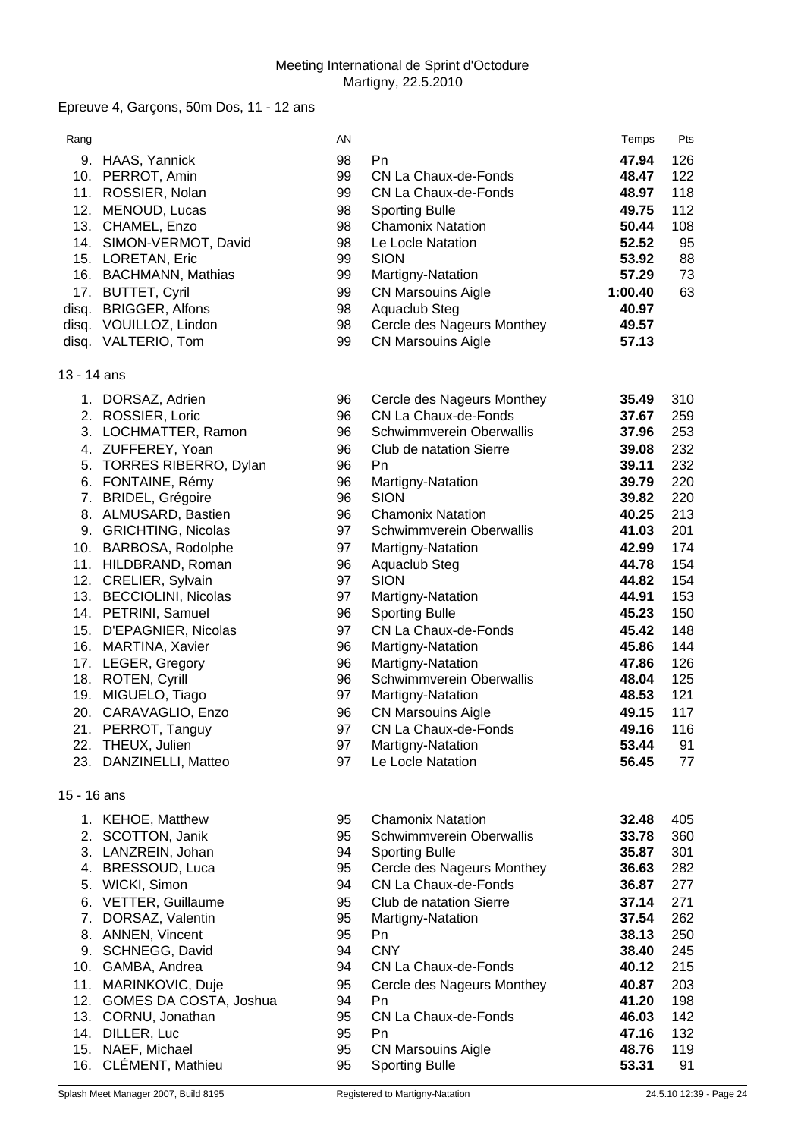Epreuve 4, Garçons, 50m Dos, 11 - 12 ans

| Rang        |                                                 | AN       |                                                      | Temps          | Pts        |
|-------------|-------------------------------------------------|----------|------------------------------------------------------|----------------|------------|
|             | 9. HAAS, Yannick                                | 98       | Pn                                                   | 47.94          | 126        |
|             | 10. PERROT, Amin                                | 99       | CN La Chaux-de-Fonds                                 | 48.47          | 122        |
|             | 11. ROSSIER, Nolan                              | 99       | CN La Chaux-de-Fonds                                 | 48.97          | 118        |
|             | 12. MENOUD, Lucas                               | 98       | <b>Sporting Bulle</b>                                | 49.75          | 112        |
|             | 13. CHAMEL, Enzo                                | 98       | <b>Chamonix Natation</b>                             | 50.44          | 108        |
|             | 14. SIMON-VERMOT, David                         | 98       | Le Locle Natation                                    | 52.52          | 95         |
|             | 15. LORETAN, Eric                               | 99       | <b>SION</b>                                          | 53.92          | 88         |
|             | 16. BACHMANN, Mathias                           | 99       | Martigny-Natation                                    | 57.29          | 73         |
|             | 17. BUTTET, Cyril                               | 99       | <b>CN Marsouins Aigle</b>                            | 1:00.40        | 63         |
|             | disq. BRIGGER, Alfons<br>disq. VOUILLOZ, Lindon | 98<br>98 | Aquaclub Steg<br>Cercle des Nageurs Monthey          | 40.97<br>49.57 |            |
|             | disq. VALTERIO, Tom                             | 99       | <b>CN Marsouins Aigle</b>                            | 57.13          |            |
|             |                                                 |          |                                                      |                |            |
| 13 - 14 ans |                                                 |          |                                                      |                |            |
|             | 1. DORSAZ, Adrien                               | 96       | Cercle des Nageurs Monthey                           | 35.49          | 310        |
|             | 2. ROSSIER, Loric                               | 96       | CN La Chaux-de-Fonds                                 | 37.67          | 259        |
|             | 3. LOCHMATTER, Ramon                            | 96       | Schwimmverein Oberwallis                             | 37.96          | 253        |
|             | 4. ZUFFEREY, Yoan                               | 96       | Club de natation Sierre                              | 39.08          | 232        |
|             | 5. TORRES RIBERRO, Dylan                        | 96       | Pn                                                   | 39.11          | 232        |
|             | 6. FONTAINE, Rémy                               | 96       | Martigny-Natation                                    | 39.79          | 220        |
|             | 7. BRIDEL, Grégoire                             | 96<br>96 | <b>SION</b>                                          | 39.82          | 220        |
|             | 8. ALMUSARD, Bastien<br>9. GRICHTING, Nicolas   | 97       | <b>Chamonix Natation</b><br>Schwimmverein Oberwallis | 40.25<br>41.03 | 213<br>201 |
|             | 10. BARBOSA, Rodolphe                           | 97       | Martigny-Natation                                    | 42.99          | 174        |
|             | 11. HILDBRAND, Roman                            | 96       | Aquaclub Steg                                        | 44.78          | 154        |
|             | 12. CRELIER, Sylvain                            | 97       | <b>SION</b>                                          | 44.82          | 154        |
|             | 13. BECCIOLINI, Nicolas                         | 97       | Martigny-Natation                                    | 44.91          | 153        |
|             | 14. PETRINI, Samuel                             | 96       | <b>Sporting Bulle</b>                                | 45.23          | 150        |
|             | 15. D'EPAGNIER, Nicolas                         | 97       | CN La Chaux-de-Fonds                                 | 45.42          | 148        |
|             | 16. MARTINA, Xavier                             | 96       | Martigny-Natation                                    | 45.86          | 144        |
|             | 17. LEGER, Gregory                              | 96       | Martigny-Natation                                    | 47.86          | 126        |
|             | 18. ROTEN, Cyrill                               | 96       | Schwimmverein Oberwallis                             | 48.04          | 125        |
|             | 19. MIGUELO, Tiago                              | 97       | Martigny-Natation                                    | 48.53          | 121        |
|             | 20. CARAVAGLIO, Enzo                            | 96       | <b>CN Marsouins Aigle</b>                            | 49.15          | 117        |
| 21.         | PERROT, Tanguy                                  | 97       | CN La Chaux-de-Fonds                                 | 49.16          | 116        |
|             | 22. THEUX, Julien                               | 97<br>97 | Martigny-Natation<br>Le Locle Natation               | 53.44<br>56.45 | 91         |
| 23.         | DANZINELLI, Matteo                              |          |                                                      |                | 77         |
| 15 - 16 ans |                                                 |          |                                                      |                |            |
|             | 1. KEHOE, Matthew                               | 95       | <b>Chamonix Natation</b>                             | 32.48          | 405        |
|             | 2. SCOTTON, Janik                               | 95       | Schwimmverein Oberwallis                             | 33.78          | 360        |
|             | 3. LANZREIN, Johan                              | 94       | <b>Sporting Bulle</b>                                | 35.87          | 301        |
|             | 4. BRESSOUD, Luca                               | 95       | Cercle des Nageurs Monthey                           | 36.63          | 282        |
|             | 5. WICKI, Simon                                 | 94       | CN La Chaux-de-Fonds                                 | 36.87          | 277        |
|             | 6. VETTER, Guillaume                            | 95       | Club de natation Sierre                              | 37.14          | 271        |
| 7.          | DORSAZ, Valentin                                | 95       | Martigny-Natation                                    | 37.54          | 262        |
|             | 8. ANNEN, Vincent<br>9. SCHNEGG, David          | 95<br>94 | Pn<br><b>CNY</b>                                     | 38.13<br>38.40 | 250<br>245 |
|             | 10. GAMBA, Andrea                               | 94       | CN La Chaux-de-Fonds                                 | 40.12          | 215        |
|             | 11. MARINKOVIC, Duje                            | 95       | Cercle des Nageurs Monthey                           | 40.87          | 203        |
|             | 12. GOMES DA COSTA, Joshua                      | 94       | Pn                                                   | 41.20          | 198        |
|             | 13. CORNU, Jonathan                             | 95       | CN La Chaux-de-Fonds                                 | 46.03          | 142        |
|             | 14. DILLER, Luc                                 | 95       | Pn                                                   | 47.16          | 132        |
|             | 15. NAEF, Michael                               | 95       | <b>CN Marsouins Aigle</b>                            | 48.76          | 119        |
| 16.         | CLÉMENT, Mathieu                                | 95       | <b>Sporting Bulle</b>                                | 53.31          | 91         |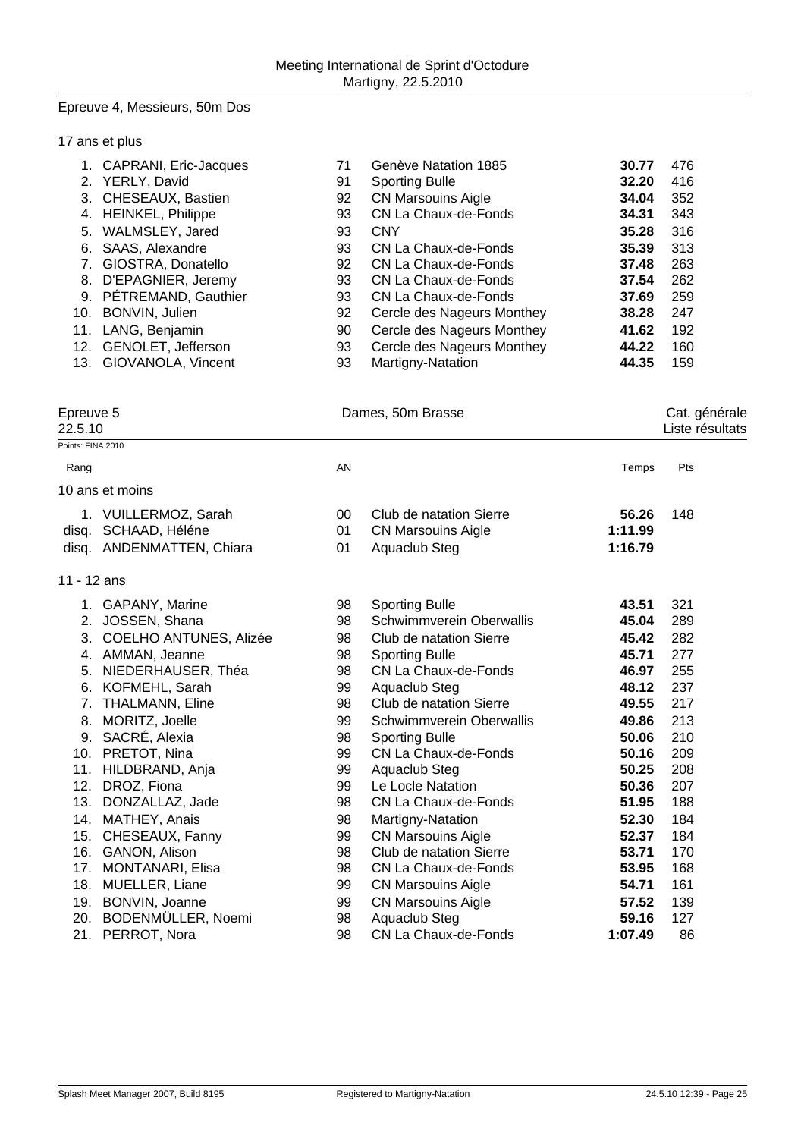#### Epreuve 4, Messieurs, 50m Dos

### 17 ans et plus

|    | 1. CAPRANI, Eric-Jacques | 71 | Genève Natation 1885       | 30.77 | 476 |
|----|--------------------------|----|----------------------------|-------|-----|
|    | 2. YERLY, David          | 91 | <b>Sporting Bulle</b>      | 32.20 | 416 |
|    | 3. CHESEAUX, Bastien     | 92 | <b>CN Marsouins Aigle</b>  | 34.04 | 352 |
| 4. | <b>HEINKEL, Philippe</b> | 93 | CN La Chaux-de-Fonds       | 34.31 | 343 |
| 5. | WALMSLEY, Jared          | 93 | <b>CNY</b>                 | 35.28 | 316 |
| 6. | SAAS, Alexandre          | 93 | CN La Chaux-de-Fonds       | 35.39 | 313 |
|    | 7. GIOSTRA, Donatello    | 92 | CN La Chaux-de-Fonds       | 37.48 | 263 |
| 8. | D'EPAGNIER, Jeremy       | 93 | CN La Chaux-de-Fonds       | 37.54 | 262 |
|    | 9. PÉTREMAND, Gauthier   | 93 | CN La Chaux-de-Fonds       | 37.69 | 259 |
|    | 10. BONVIN, Julien       | 92 | Cercle des Nageurs Monthey | 38.28 | 247 |
|    | 11. LANG, Benjamin       | 90 | Cercle des Nageurs Monthey | 41.62 | 192 |
|    | 12. GENOLET, Jefferson   | 93 | Cercle des Nageurs Monthey | 44.22 | 160 |
|    | 13. GIOVANOLA, Vincent   | 93 | Martigny-Natation          | 44.35 | 159 |

Points: FINA 2010

Epreuve 5 Dames, 50m Brasse

Epreuve 5<br>
22.5.10 Cat. générale<br>
22.5.10

| Rang           |                                                               | AN             |                                                                                     | Temps                       | Pts               |
|----------------|---------------------------------------------------------------|----------------|-------------------------------------------------------------------------------------|-----------------------------|-------------------|
|                | 10 ans et moins                                               |                |                                                                                     |                             |                   |
| disg.<br>disq. | 1. VUILLERMOZ, Sarah<br>SCHAAD, Héléne<br>ANDENMATTEN, Chiara | 00<br>01<br>01 | Club de natation Sierre<br><b>CN Marsouins Aigle</b><br>Aquaclub Steg               | 56.26<br>1:11.99<br>1:16.79 | 148               |
| 11 - 12 ans    |                                                               |                |                                                                                     |                             |                   |
| 2.<br>3.       | 1. GAPANY, Marine<br>JOSSEN, Shana<br>COELHO ANTUNES, Alizée  | 98<br>98<br>98 | <b>Sporting Bulle</b><br><b>Schwimmverein Oberwallis</b><br>Club de natation Sierre | 43.51<br>45.04<br>45.42     | 321<br>289<br>282 |
| 4.<br>5.       | AMMAN, Jeanne<br>NIEDERHAUSER, Théa                           | 98<br>98       | <b>Sporting Bulle</b><br>CN La Chaux-de-Fonds                                       | 45.71<br>46.97              | 277<br>255        |
| 7.             | 6. KOFMEHL, Sarah<br><b>THALMANN, Eline</b>                   | 99<br>98       | Aquaclub Steg<br>Club de natation Sierre                                            | 48.12<br>49.55              | 237<br>217        |
| 8.<br>9.       | MORITZ, Joelle<br>SACRÉ, Alexia                               | 99<br>98       | Schwimmverein Oberwallis                                                            | 49.86<br>50.06              | 213<br>210        |
| 10.<br>11.     | PRETOT, Nina<br>HILDBRAND, Anja                               | 99<br>99       | <b>Sporting Bulle</b><br>CN La Chaux-de-Fonds<br>Aquaclub Steg                      | 50.16<br>50.25              | 209<br>208        |
| 12.<br>13.     | DROZ, Fiona<br>DONZALLAZ, Jade                                | 99<br>98       | Le Locle Natation<br>CN La Chaux-de-Fonds                                           | 50.36<br>51.95              | 207<br>188        |
| 14.            | MATHEY, Anais                                                 | 98             | Martigny-Natation                                                                   | 52.30                       | 184               |
| 15.<br>16.     | CHESEAUX, Fanny<br>GANON, Alison                              | 99<br>98       | <b>CN Marsouins Aigle</b><br>Club de natation Sierre                                | 52.37<br>53.71              | 184<br>170        |
| 17.<br>18.     | <b>MONTANARI, Elisa</b><br>MUELLER, Liane                     | 98<br>99       | CN La Chaux-de-Fonds<br><b>CN Marsouins Aigle</b>                                   | 53.95<br>54.71              | 168<br>161        |
| 19.<br>20.     | BONVIN, Joanne<br>BODENMÜLLER, Noemi                          | 99<br>98       | <b>CN Marsouins Aigle</b><br>Aquaclub Steg                                          | 57.52<br>59.16              | 139<br>127        |
| 21.            | PERROT, Nora                                                  | 98             | CN La Chaux-de-Fonds                                                                | 1:07.49                     | 86                |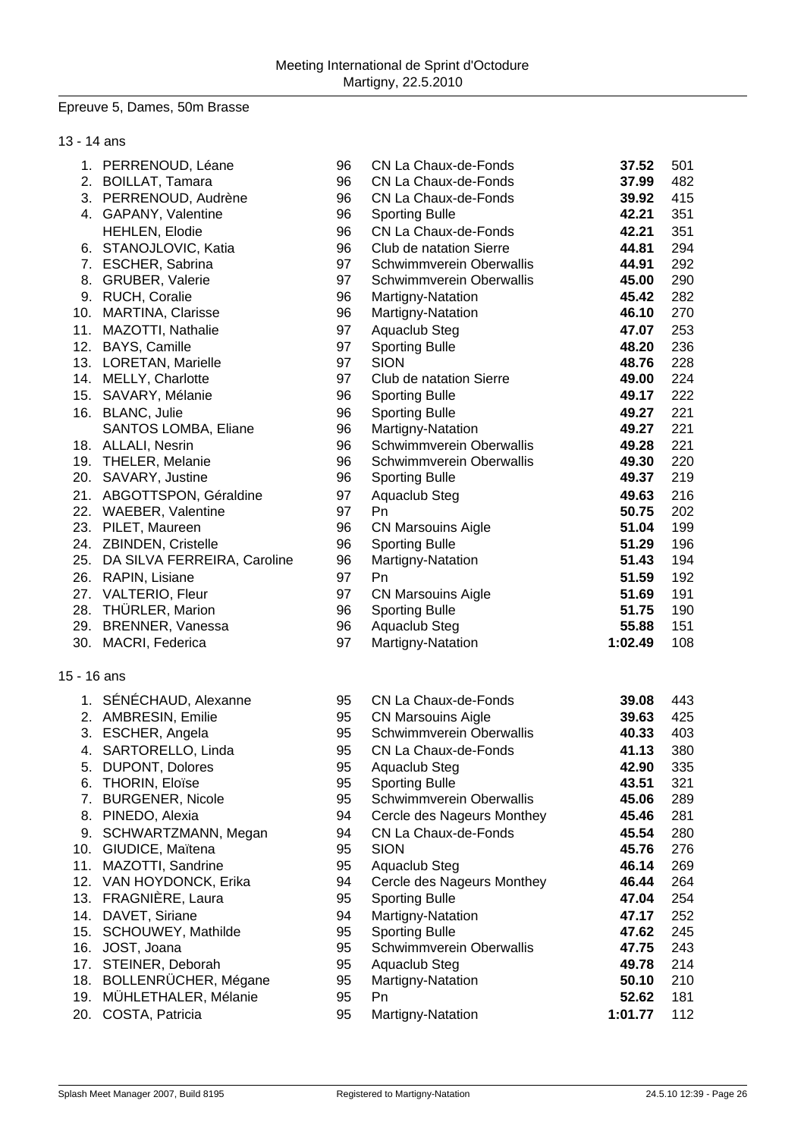#### Epreuve 5, Dames, 50m Brasse

| 13 - 14 ans |                                 |    |                            |         |     |
|-------------|---------------------------------|----|----------------------------|---------|-----|
|             | 1. PERRENOUD, Léane             | 96 | CN La Chaux-de-Fonds       | 37.52   | 501 |
|             | 2. BOILLAT, Tamara              | 96 | CN La Chaux-de-Fonds       | 37.99   | 482 |
|             | 3. PERRENOUD, Audrène           | 96 | CN La Chaux-de-Fonds       | 39.92   | 415 |
|             | 4. GAPANY, Valentine            | 96 | <b>Sporting Bulle</b>      | 42.21   | 351 |
|             | <b>HEHLEN, Elodie</b>           | 96 | CN La Chaux-de-Fonds       | 42.21   | 351 |
|             | 6. STANOJLOVIC, Katia           | 96 | Club de natation Sierre    | 44.81   | 294 |
|             | 7. ESCHER, Sabrina              | 97 | Schwimmverein Oberwallis   | 44.91   | 292 |
|             | 8. GRUBER, Valerie              | 97 | Schwimmverein Oberwallis   | 45.00   | 290 |
|             | 9. RUCH, Coralie                | 96 | Martigny-Natation          | 45.42   | 282 |
|             | 10. MARTINA, Clarisse           | 96 | Martigny-Natation          | 46.10   | 270 |
|             | 11. MAZOTTI, Nathalie           | 97 | Aquaclub Steg              | 47.07   | 253 |
|             | 12. BAYS, Camille               | 97 | <b>Sporting Bulle</b>      | 48.20   | 236 |
|             | 13. LORETAN, Marielle           | 97 | <b>SION</b>                | 48.76   | 228 |
|             | 14. MELLY, Charlotte            | 97 | Club de natation Sierre    | 49.00   | 224 |
|             | 15. SAVARY, Mélanie             | 96 | <b>Sporting Bulle</b>      | 49.17   | 222 |
|             | 16. BLANC, Julie                | 96 | <b>Sporting Bulle</b>      | 49.27   | 221 |
|             | SANTOS LOMBA, Eliane            | 96 | Martigny-Natation          | 49.27   | 221 |
|             | 18. ALLALI, Nesrin              | 96 | Schwimmverein Oberwallis   | 49.28   | 221 |
|             | 19. THELER, Melanie             | 96 | Schwimmverein Oberwallis   | 49.30   | 220 |
|             | 20. SAVARY, Justine             | 96 | <b>Sporting Bulle</b>      | 49.37   | 219 |
|             | 21. ABGOTTSPON, Géraldine       | 97 | Aquaclub Steg              | 49.63   | 216 |
|             | 22. WAEBER, Valentine           | 97 | Pn                         | 50.75   | 202 |
|             | 23. PILET, Maureen              | 96 | <b>CN Marsouins Aigle</b>  | 51.04   | 199 |
|             | 24. ZBINDEN, Cristelle          | 96 | <b>Sporting Bulle</b>      | 51.29   | 196 |
|             | 25. DA SILVA FERREIRA, Caroline | 96 | Martigny-Natation          | 51.43   | 194 |
|             | 26. RAPIN, Lisiane              | 97 | Pn                         | 51.59   | 192 |
|             | 27. VALTERIO, Fleur             | 97 | <b>CN Marsouins Aigle</b>  | 51.69   | 191 |
|             | 28. THÜRLER, Marion             | 96 | <b>Sporting Bulle</b>      | 51.75   | 190 |
|             | 29. BRENNER, Vanessa            | 96 | Aquaclub Steg              | 55.88   | 151 |
|             | 30. MACRI, Federica             | 97 | Martigny-Natation          | 1:02.49 | 108 |
|             |                                 |    |                            |         |     |
| 15 - 16 ans |                                 |    |                            |         |     |
|             | 1. SÉNÉCHAUD, Alexanne          | 95 | CN La Chaux-de-Fonds       | 39.08   | 443 |
|             | 2. AMBRESIN, Emilie             | 95 | <b>CN Marsouins Aigle</b>  | 39.63   | 425 |
| 3.          | ESCHER, Angela                  | 95 | Schwimmverein Oberwallis   | 40.33   | 403 |
|             | 4. SARTORELLO, Linda            | 95 | CN La Chaux-de-Fonds       | 41.13   | 380 |
|             | 5. DUPONT, Dolores              | 95 | Aquaclub Steg              | 42.90   | 335 |
|             | 6. THORIN, Eloïse               | 95 | <b>Sporting Bulle</b>      | 43.51   | 321 |
|             | 7. BURGENER, Nicole             | 95 | Schwimmverein Oberwallis   | 45.06   | 289 |
|             | 8. PINEDO, Alexia               | 94 | Cercle des Nageurs Monthey | 45.46   | 281 |
|             | 9. SCHWARTZMANN, Megan          | 94 | CN La Chaux-de-Fonds       | 45.54   | 280 |
|             | 10. GIUDICE, Maïtena            | 95 | <b>SION</b>                | 45.76   | 276 |
|             | 11. MAZOTTI, Sandrine           | 95 | Aquaclub Steg              | 46.14   | 269 |
|             | 12. VAN HOYDONCK, Erika         | 94 | Cercle des Nageurs Monthey | 46.44   | 264 |
|             | 13. FRAGNIÈRE, Laura            | 95 | <b>Sporting Bulle</b>      | 47.04   | 254 |
|             | 14. DAVET, Siriane              | 94 | Martigny-Natation          | 47.17   | 252 |
|             | 15. SCHOUWEY, Mathilde          | 95 | <b>Sporting Bulle</b>      | 47.62   | 245 |
|             | 16. JOST, Joana                 | 95 | Schwimmverein Oberwallis   | 47.75   | 243 |

- 17. STEINER, Deborah 95 Aquaclub Steg **49.78** 214
- 18. BOLLENRÜCHER, Mégane 95 Martigny-Natation **50.10** 210
- 19. MÜHLETHALER, Mélanie 95 Pn **52.62** 181
- 20. COSTA, Patricia 95 Martigny-Natation **1:01.77** 112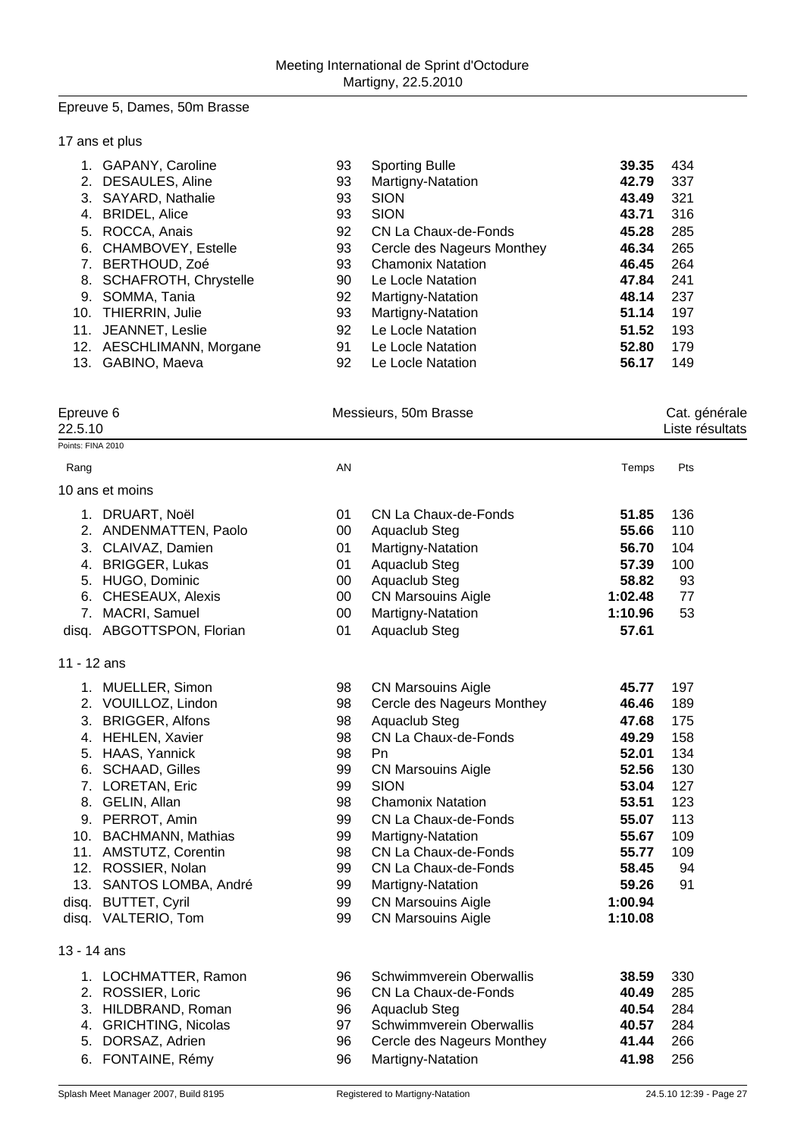#### Epreuve 5, Dames, 50m Brasse

### 17 ans et plus

| 1.  | <b>GAPANY, Caroline</b>   | 93 | <b>Sporting Bulle</b>      | 39.35 | 434 |
|-----|---------------------------|----|----------------------------|-------|-----|
| 2.  | <b>DESAULES, Aline</b>    | 93 | Martigny-Natation          | 42.79 | 337 |
|     | 3. SAYARD, Nathalie       | 93 | <b>SION</b>                | 43.49 | 321 |
| 4.  | <b>BRIDEL, Alice</b>      | 93 | <b>SION</b>                | 43.71 | 316 |
|     | 5. ROCCA, Anais           | 92 | CN La Chaux-de-Fonds       | 45.28 | 285 |
| 6.  | <b>CHAMBOVEY, Estelle</b> | 93 | Cercle des Nageurs Monthey | 46.34 | 265 |
| 7.  | BERTHOUD, Zoé             | 93 | <b>Chamonix Natation</b>   | 46.45 | 264 |
|     | 8. SCHAFROTH, Chrystelle  | 90 | Le Locle Natation          | 47.84 | 241 |
|     | 9. SOMMA, Tania           | 92 | Martigny-Natation          | 48.14 | 237 |
| 10. | THIERRIN, Julie           | 93 | Martigny-Natation          | 51.14 | 197 |
| 11. | JEANNET, Leslie           | 92 | Le Locle Natation          | 51.52 | 193 |
|     | 12. AESCHLIMANN, Morgane  | 91 | Le Locle Natation          | 52.80 | 179 |
|     | 13. GABINO, Maeva         | 92 | Le Locle Natation          | 56.17 | 149 |

| Epreuve 6 |  |
|-----------|--|
|-----------|--|

Messieurs, 50m Brasse Cat. générale

# 22.5.10 Liste résultats

|                   | Splash Meet Manager 2007, Build 8195 |        | Registered to Martigny-Natation |         | 24.5.10 12:39 - Page 27 |
|-------------------|--------------------------------------|--------|---------------------------------|---------|-------------------------|
|                   | 6. FONTAINE, Rémy                    | 96     | Martigny-Natation               | 41.98   | 256                     |
|                   | 5. DORSAZ, Adrien                    | 96     | Cercle des Nageurs Monthey      | 41.44   | 266                     |
|                   | 4. GRICHTING, Nicolas                | 97     | Schwimmverein Oberwallis        | 40.57   | 284                     |
|                   | 3. HILDBRAND, Roman                  | 96     | Aquaclub Steg                   | 40.54   | 284                     |
|                   | 2. ROSSIER, Loric                    | 96     | CN La Chaux-de-Fonds            | 40.49   | 285                     |
|                   | 1. LOCHMATTER, Ramon                 | 96     | Schwimmverein Oberwallis        | 38.59   | 330                     |
| 13 - 14 ans       |                                      |        |                                 |         |                         |
|                   | disq. VALTERIO, Tom                  | 99     | <b>CN Marsouins Aigle</b>       | 1:10.08 |                         |
| disq.             | <b>BUTTET, Cyril</b>                 | 99     | <b>CN Marsouins Aigle</b>       | 1:00.94 |                         |
|                   | 13. SANTOS LOMBA, André              | 99     | Martigny-Natation               | 59.26   | 91                      |
|                   | 12. ROSSIER, Nolan                   | 99     | CN La Chaux-de-Fonds            | 58.45   | 94                      |
|                   | 11. AMSTUTZ, Corentin                | 98     | CN La Chaux-de-Fonds            | 55.77   | 109                     |
|                   | 10. BACHMANN, Mathias                | 99     | Martigny-Natation               | 55.67   | 109                     |
|                   | 9. PERROT, Amin                      | 99     | CN La Chaux-de-Fonds            | 55.07   | 113                     |
|                   | 8. GELIN, Allan                      | 98     | <b>Chamonix Natation</b>        | 53.51   | 123                     |
|                   | 7. LORETAN, Eric                     | 99     | <b>SION</b>                     | 53.04   | 127                     |
|                   | 6. SCHAAD, Gilles                    | 99     | <b>CN Marsouins Aigle</b>       | 52.56   | 130                     |
|                   | 5. HAAS, Yannick                     | 98     | Pn                              | 52.01   | 134                     |
|                   | 4. HEHLEN, Xavier                    | 98     | CN La Chaux-de-Fonds            | 49.29   | 158                     |
|                   | 3. BRIGGER, Alfons                   | 98     | Aquaclub Steg                   | 47.68   | 175                     |
|                   | 2. VOUILLOZ, Lindon                  | 98     | Cercle des Nageurs Monthey      | 46.46   | 189                     |
|                   | 1. MUELLER, Simon                    | 98     | <b>CN Marsouins Aigle</b>       | 45.77   | 197                     |
| 11 - 12 ans       |                                      |        |                                 |         |                         |
|                   | disq. ABGOTTSPON, Florian            | 01     | Aquaclub Steg                   | 57.61   |                         |
|                   | 7. MACRI, Samuel                     | 00     | Martigny-Natation               | 1:10.96 | 53                      |
|                   | 6. CHESEAUX, Alexis                  | $00\,$ | <b>CN Marsouins Aigle</b>       | 1:02.48 | 77                      |
|                   | 5. HUGO, Dominic                     | 00     | Aquaclub Steg                   | 58.82   | 93                      |
|                   | 4. BRIGGER, Lukas                    | 01     | Aquaclub Steg                   | 57.39   | 100                     |
|                   | 3. CLAIVAZ, Damien                   | 01     | Martigny-Natation               | 56.70   | 104                     |
|                   | 2. ANDENMATTEN, Paolo                | $00\,$ | Aquaclub Steg                   | 55.66   | 110                     |
|                   | 1. DRUART, Noël                      | 01     | CN La Chaux-de-Fonds            | 51.85   | 136                     |
|                   | 10 ans et moins                      |        |                                 |         |                         |
| Rang              |                                      | AN     |                                 | Temps   | Pts                     |
| Points: FINA 2010 |                                      |        |                                 |         |                         |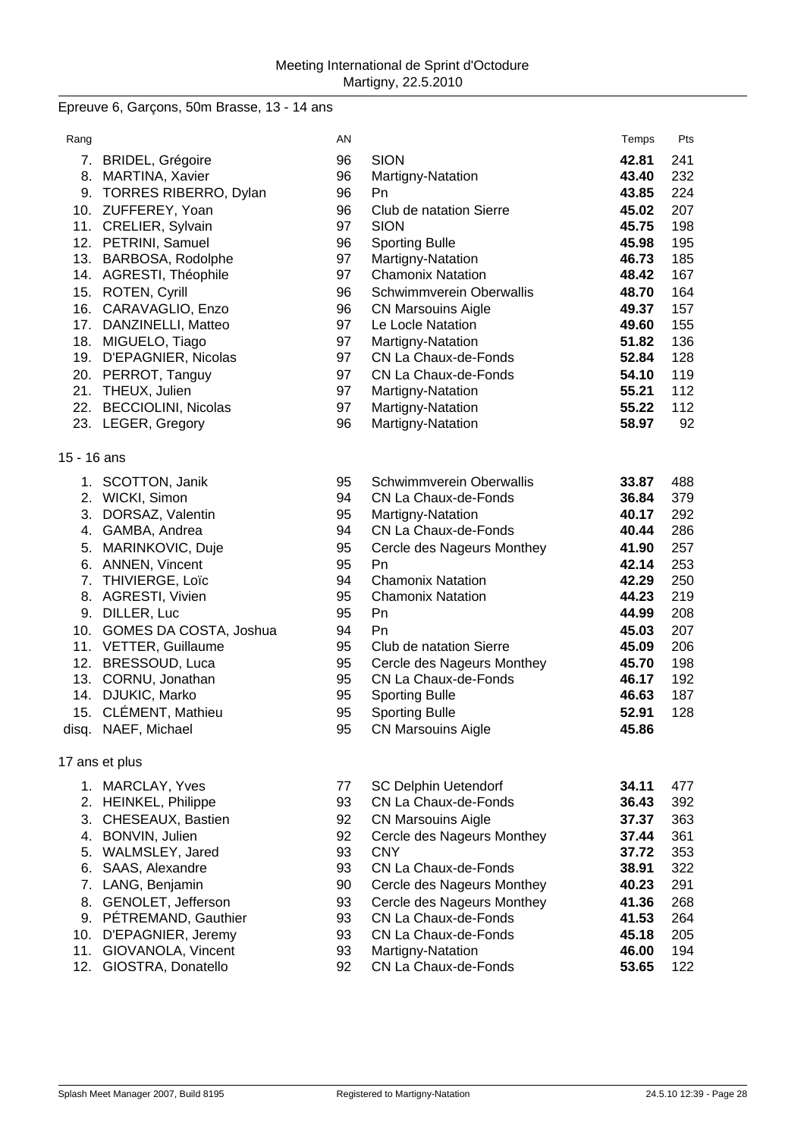# Epreuve 6, Garçons, 50m Brasse, 13 - 14 ans

| Rang        |                            | AN |                             | Temps | Pts |
|-------------|----------------------------|----|-----------------------------|-------|-----|
|             | 7. BRIDEL, Grégoire        | 96 | <b>SION</b>                 | 42.81 | 241 |
|             | 8. MARTINA, Xavier         | 96 | Martigny-Natation           | 43.40 | 232 |
|             | 9. TORRES RIBERRO, Dylan   | 96 | Pn                          | 43.85 | 224 |
|             | 10. ZUFFEREY, Yoan         | 96 | Club de natation Sierre     | 45.02 | 207 |
|             | 11. CRELIER, Sylvain       | 97 | <b>SION</b>                 | 45.75 | 198 |
|             | 12. PETRINI, Samuel        | 96 | <b>Sporting Bulle</b>       | 45.98 | 195 |
|             | 13. BARBOSA, Rodolphe      | 97 | Martigny-Natation           | 46.73 | 185 |
|             | 14. AGRESTI, Théophile     | 97 | <b>Chamonix Natation</b>    | 48.42 | 167 |
|             | 15. ROTEN, Cyrill          | 96 | Schwimmverein Oberwallis    | 48.70 | 164 |
|             | 16. CARAVAGLIO, Enzo       | 96 | <b>CN Marsouins Aigle</b>   | 49.37 | 157 |
|             | 17. DANZINELLI, Matteo     | 97 | Le Locle Natation           | 49.60 | 155 |
|             | 18. MIGUELO, Tiago         | 97 | Martigny-Natation           | 51.82 | 136 |
|             | 19. D'EPAGNIER, Nicolas    | 97 | CN La Chaux-de-Fonds        | 52.84 | 128 |
|             | 20. PERROT, Tanguy         | 97 | CN La Chaux-de-Fonds        | 54.10 | 119 |
|             | 21. THEUX, Julien          | 97 | Martigny-Natation           | 55.21 | 112 |
|             | 22. BECCIOLINI, Nicolas    | 97 | Martigny-Natation           | 55.22 | 112 |
|             | 23. LEGER, Gregory         | 96 | Martigny-Natation           | 58.97 | 92  |
| 15 - 16 ans |                            |    |                             |       |     |
|             | 1. SCOTTON, Janik          | 95 | Schwimmverein Oberwallis    | 33.87 | 488 |
|             | 2. WICKI, Simon            | 94 | CN La Chaux-de-Fonds        | 36.84 | 379 |
|             | 3. DORSAZ, Valentin        | 95 | Martigny-Natation           | 40.17 | 292 |
|             | 4. GAMBA, Andrea           | 94 | CN La Chaux-de-Fonds        | 40.44 | 286 |
|             | 5. MARINKOVIC, Duje        | 95 | Cercle des Nageurs Monthey  | 41.90 | 257 |
|             | 6. ANNEN, Vincent          | 95 | Pn                          | 42.14 | 253 |
|             | 7. THIVIERGE, Loïc         | 94 | <b>Chamonix Natation</b>    | 42.29 | 250 |
|             | 8. AGRESTI, Vivien         | 95 | <b>Chamonix Natation</b>    | 44.23 | 219 |
|             | 9. DILLER, Luc             | 95 | Pn                          | 44.99 | 208 |
|             | 10. GOMES DA COSTA, Joshua | 94 | Pn                          | 45.03 | 207 |
|             | 11. VETTER, Guillaume      | 95 | Club de natation Sierre     | 45.09 | 206 |
|             | 12. BRESSOUD, Luca         | 95 | Cercle des Nageurs Monthey  | 45.70 | 198 |
|             | 13. CORNU, Jonathan        | 95 | CN La Chaux-de-Fonds        | 46.17 | 192 |
|             | 14. DJUKIC, Marko          | 95 | <b>Sporting Bulle</b>       | 46.63 | 187 |
|             | 15. CLÉMENT, Mathieu       | 95 | <b>Sporting Bulle</b>       | 52.91 | 128 |
|             | disq. NAEF, Michael        | 95 | <b>CN Marsouins Aigle</b>   | 45.86 |     |
|             | 17 ans et plus             |    |                             |       |     |
|             | 1. MARCLAY, Yves           | 77 | <b>SC Delphin Uetendorf</b> | 34.11 | 477 |
|             | 2. HEINKEL, Philippe       | 93 | CN La Chaux-de-Fonds        | 36.43 | 392 |
| 3.          | CHESEAUX, Bastien          | 92 | <b>CN Marsouins Aigle</b>   | 37.37 | 363 |
|             | 4. BONVIN, Julien          | 92 | Cercle des Nageurs Monthey  | 37.44 | 361 |
|             | 5. WALMSLEY, Jared         | 93 | <b>CNY</b>                  | 37.72 | 353 |
| 6.          | SAAS, Alexandre            | 93 | CN La Chaux-de-Fonds        | 38.91 | 322 |
| 7.          | LANG, Benjamin             | 90 | Cercle des Nageurs Monthey  | 40.23 | 291 |
| 8.          | GENOLET, Jefferson         | 93 | Cercle des Nageurs Monthey  | 41.36 | 268 |
|             | 9. PÉTREMAND, Gauthier     | 93 | CN La Chaux-de-Fonds        | 41.53 | 264 |
| 10.         | D'EPAGNIER, Jeremy         | 93 | CN La Chaux-de-Fonds        | 45.18 | 205 |
| 11.         | GIOVANOLA, Vincent         | 93 | Martigny-Natation           | 46.00 | 194 |
| 12.         | GIOSTRA, Donatello         | 92 | CN La Chaux-de-Fonds        | 53.65 | 122 |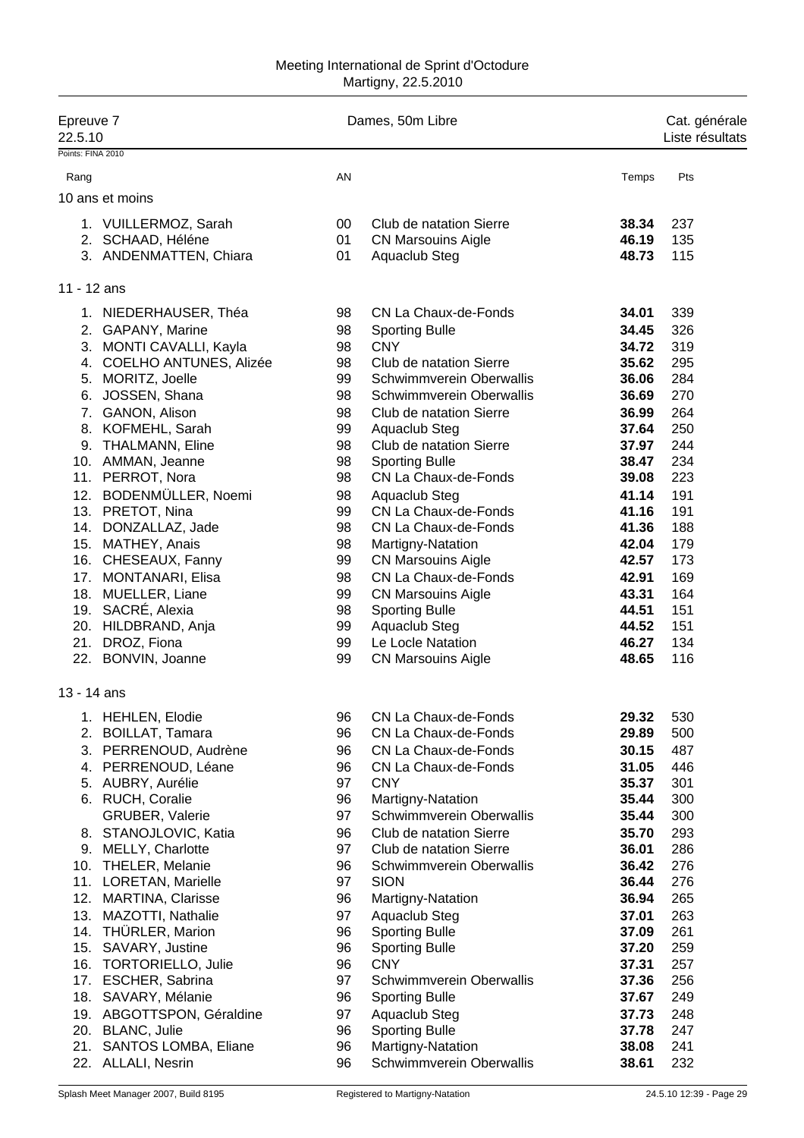#### Meeting International de Sprint d'Octodure Martigny, 22.5.2010

| Epreuve 7<br>22.5.10 |                                                | Dames, 50m Libre | Cat. générale<br>Liste résultats        |                |            |
|----------------------|------------------------------------------------|------------------|-----------------------------------------|----------------|------------|
| Points: FINA 2010    |                                                |                  |                                         |                |            |
| Rang                 |                                                | AN               |                                         | Temps          | Pts        |
|                      | 10 ans et moins                                |                  |                                         |                |            |
|                      | 1. VUILLERMOZ, Sarah                           | 00               | Club de natation Sierre                 | 38.34          | 237        |
|                      | 2. SCHAAD, Héléne                              | 01               | <b>CN Marsouins Aigle</b>               | 46.19          | 135        |
|                      | 3. ANDENMATTEN, Chiara                         | 01               | Aquaclub Steg                           | 48.73          | 115        |
| 11 - 12 ans          |                                                |                  |                                         |                |            |
|                      | 1. NIEDERHAUSER, Théa                          | 98               | CN La Chaux-de-Fonds                    | 34.01          | 339        |
|                      | 2. GAPANY, Marine                              | 98               | <b>Sporting Bulle</b>                   | 34.45          | 326        |
|                      | 3. MONTI CAVALLI, Kayla                        | 98               | <b>CNY</b>                              | 34.72          | 319        |
|                      | 4. COELHO ANTUNES, Alizée                      | 98               | Club de natation Sierre                 | 35.62          | 295        |
|                      | 5. MORITZ, Joelle                              | 99               | Schwimmverein Oberwallis                | 36.06          | 284        |
|                      | 6. JOSSEN, Shana                               | 98               | Schwimmverein Oberwallis                | 36.69          | 270        |
|                      | 7. GANON, Alison                               | 98               | Club de natation Sierre                 | 36.99          | 264        |
|                      | 8. KOFMEHL, Sarah                              | 99               | Aquaclub Steg                           | 37.64          | 250        |
|                      | 9. THALMANN, Eline                             | 98               | Club de natation Sierre                 | 37.97          | 244        |
|                      | 10. AMMAN, Jeanne                              | 98               | <b>Sporting Bulle</b>                   | 38.47          | 234        |
|                      | 11. PERROT, Nora                               | 98               | CN La Chaux-de-Fonds                    | 39.08          | 223        |
| 12.                  | BODENMÜLLER, Noemi                             | 98               | Aquaclub Steg<br>CN La Chaux-de-Fonds   | 41.14          | 191        |
|                      | 13. PRETOT, Nina<br>14. DONZALLAZ, Jade        | 99<br>98         | CN La Chaux-de-Fonds                    | 41.16<br>41.36 | 191<br>188 |
|                      | 15. MATHEY, Anais                              | 98               | Martigny-Natation                       | 42.04          | 179        |
|                      | 16. CHESEAUX, Fanny                            | 99               | <b>CN Marsouins Aigle</b>               | 42.57          | 173        |
| 17.                  | <b>MONTANARI, Elisa</b>                        | 98               | CN La Chaux-de-Fonds                    | 42.91          | 169        |
|                      | 18. MUELLER, Liane                             | 99               | <b>CN Marsouins Aigle</b>               | 43.31          | 164        |
|                      | 19. SACRÉ, Alexia                              | 98               | <b>Sporting Bulle</b>                   | 44.51          | 151        |
|                      | 20. HILDBRAND, Anja                            | 99               | Aquaclub Steg                           | 44.52          | 151        |
|                      | 21. DROZ, Fiona                                | 99               | Le Locle Natation                       | 46.27          | 134        |
|                      | 22. BONVIN, Joanne                             | 99               | <b>CN Marsouins Aigle</b>               | 48.65          | 116        |
| 13 - 14 ans          |                                                |                  |                                         |                |            |
| 1.                   | <b>HEHLEN, Elodie</b>                          | 96               | CN La Chaux-de-Fonds                    | 29.32          | 530        |
|                      | 2. BOILLAT, Tamara                             | 96               | CN La Chaux-de-Fonds                    | 29.89          | 500        |
|                      | 3. PERRENOUD, Audrène                          | 96               | CN La Chaux-de-Fonds                    | 30.15          | 487        |
|                      | 4. PERRENOUD, Léane                            | 96               | CN La Chaux-de-Fonds                    | 31.05          | 446        |
|                      | 5. AUBRY, Aurélie                              | 97               | <b>CNY</b>                              | 35.37          | 301        |
|                      | 6. RUCH, Coralie                               | 96               | Martigny-Natation                       | 35.44          | 300        |
|                      | <b>GRUBER, Valerie</b>                         | 97               | Schwimmverein Oberwallis                | 35.44          | 300        |
|                      | 8. STANOJLOVIC, Katia                          | 96               | Club de natation Sierre                 | 35.70          | 293        |
|                      | 9. MELLY, Charlotte                            | 97               | Club de natation Sierre                 | 36.01          | 286        |
|                      | 10. THELER, Melanie                            | 96               | Schwimmverein Oberwallis<br><b>SION</b> | 36.42          | 276        |
|                      | 11. LORETAN, Marielle<br>12. MARTINA, Clarisse | 97<br>96         |                                         | 36.44<br>36.94 | 276<br>265 |
|                      | 13. MAZOTTI, Nathalie                          | 97               | Martigny-Natation<br>Aquaclub Steg      | 37.01          | 263        |
| 14.                  | THÜRLER, Marion                                | 96               | <b>Sporting Bulle</b>                   | 37.09          | 261        |
| 15.                  | SAVARY, Justine                                | 96               | <b>Sporting Bulle</b>                   | 37.20          | 259        |
| 16.                  | <b>TORTORIELLO, Julie</b>                      | 96               | <b>CNY</b>                              | 37.31          | 257        |
|                      | 17. ESCHER, Sabrina                            | 97               | Schwimmverein Oberwallis                | 37.36          | 256        |
|                      | 18. SAVARY, Mélanie                            | 96               | <b>Sporting Bulle</b>                   | 37.67          | 249        |
|                      | 19. ABGOTTSPON, Géraldine                      | 97               | Aquaclub Steg                           | 37.73          | 248        |
|                      | 20. BLANC, Julie                               | 96               | <b>Sporting Bulle</b>                   | 37.78          | 247        |
| 21.                  | SANTOS LOMBA, Eliane                           | 96               | Martigny-Natation                       | 38.08          | 241        |
|                      | 22. ALLALI, Nesrin                             | 96               | Schwimmverein Oberwallis                | 38.61          | 232        |
|                      |                                                |                  |                                         |                |            |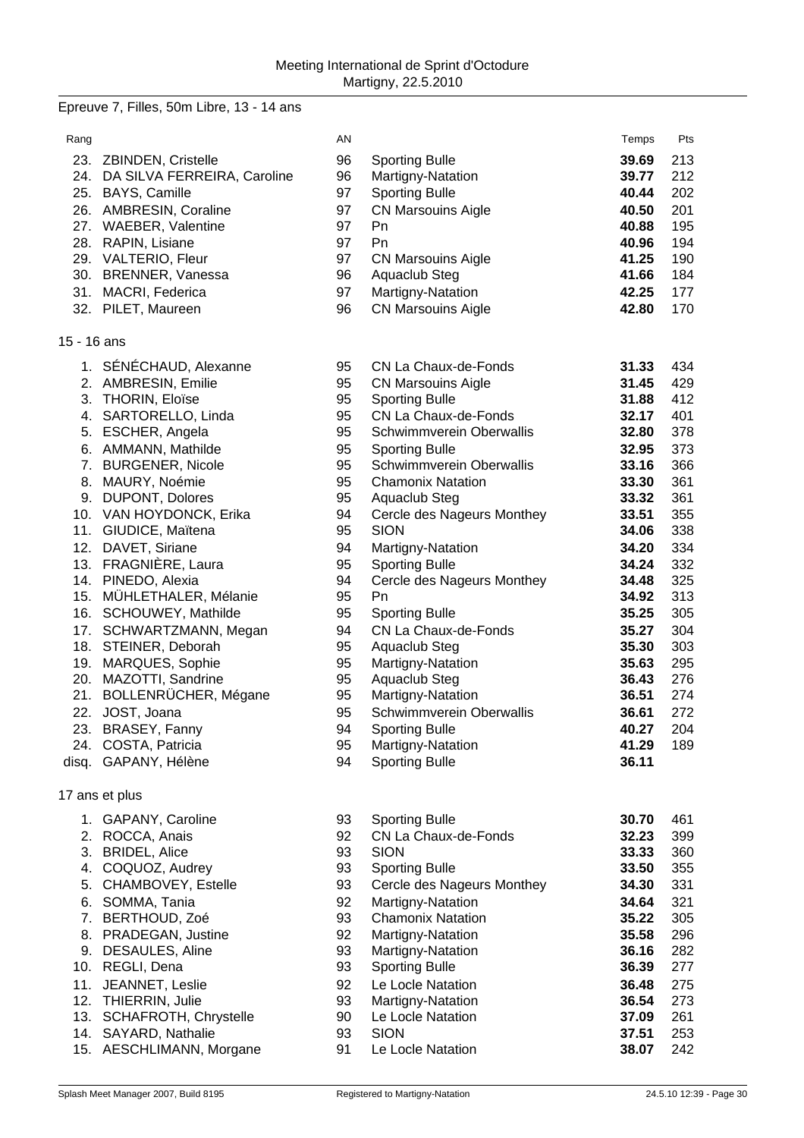# Epreuve 7, Filles, 50m Libre, 13 - 14 ans

| Rang        |                                              | AN       |                                    | Temps          | Pts        |
|-------------|----------------------------------------------|----------|------------------------------------|----------------|------------|
|             | 23. ZBINDEN, Cristelle                       | 96       | <b>Sporting Bulle</b>              | 39.69          | 213        |
|             | 24. DA SILVA FERREIRA, Caroline              | 96       | Martigny-Natation                  | 39.77          | 212        |
|             | 25. BAYS, Camille                            | 97       | <b>Sporting Bulle</b>              | 40.44          | 202        |
|             | 26. AMBRESIN, Coraline                       | 97       | <b>CN Marsouins Aigle</b>          | 40.50          | 201        |
|             | 27. WAEBER, Valentine                        | 97       | Pn                                 | 40.88          | 195        |
|             | 28. RAPIN, Lisiane                           | 97       | Pn                                 | 40.96          | 194        |
|             | 29. VALTERIO, Fleur                          | 97       | <b>CN Marsouins Aigle</b>          | 41.25          | 190        |
|             | 30. BRENNER, Vanessa                         | 96       | Aquaclub Steg                      | 41.66          | 184        |
|             | 31. MACRI, Federica                          | 97       | Martigny-Natation                  | 42.25          | 177        |
|             | 32. PILET, Maureen                           | 96       | <b>CN Marsouins Aigle</b>          | 42.80          | 170        |
| 15 - 16 ans |                                              |          |                                    |                |            |
|             | 1. SÉNÉCHAUD, Alexanne                       | 95       | CN La Chaux-de-Fonds               | 31.33          | 434        |
|             | 2. AMBRESIN, Emilie                          | 95       | <b>CN Marsouins Aigle</b>          | 31.45          | 429        |
|             | 3. THORIN, Eloïse                            | 95       | <b>Sporting Bulle</b>              | 31.88          | 412        |
|             | 4. SARTORELLO, Linda                         | 95       | CN La Chaux-de-Fonds               | 32.17          | 401        |
|             | 5. ESCHER, Angela                            | 95       | Schwimmverein Oberwallis           | 32.80          | 378        |
|             | 6. AMMANN, Mathilde                          | 95       | <b>Sporting Bulle</b>              | 32.95          | 373        |
|             | 7. BURGENER, Nicole                          | 95       | Schwimmverein Oberwallis           | 33.16          | 366        |
|             | 8. MAURY, Noémie                             | 95       | <b>Chamonix Natation</b>           | 33.30          | 361        |
|             | 9. DUPONT, Dolores                           | 95       | Aquaclub Steg                      | 33.32          | 361        |
|             | 10. VAN HOYDONCK, Erika                      | 94       | Cercle des Nageurs Monthey         | 33.51          | 355        |
|             | 11. GIUDICE, Maïtena                         | 95       | <b>SION</b>                        | 34.06          | 338        |
|             | 12. DAVET, Siriane                           | 94       | Martigny-Natation                  | 34.20          | 334        |
|             | 13. FRAGNIÈRE, Laura                         | 95       | <b>Sporting Bulle</b>              | 34.24          | 332        |
|             | 14. PINEDO, Alexia                           | 94       | Cercle des Nageurs Monthey         | 34.48          | 325        |
|             | 15. MÜHLETHALER, Mélanie                     | 95       | Pn                                 | 34.92          | 313        |
|             | 16. SCHOUWEY, Mathilde                       | 95       | <b>Sporting Bulle</b>              | 35.25          | 305        |
|             | 17. SCHWARTZMANN, Megan                      | 94       | CN La Chaux-de-Fonds               | 35.27          | 304        |
|             | 18. STEINER, Deborah                         | 95<br>95 | Aquaclub Steg                      | 35.30          | 303        |
|             | 19. MARQUES, Sophie<br>20. MAZOTTI, Sandrine | 95       | Martigny-Natation<br>Aquaclub Steg | 35.63<br>36.43 | 295<br>276 |
|             | 21. BOLLENRÜCHER, Mégane                     | 95       | Martigny-Natation                  | 36.51          | 274        |
|             | 22. JOST, Joana                              | 95       | Schwimmverein Oberwallis           | 36.61          | 272        |
|             | 23. BRASEY, Fanny                            | 94       | <b>Sporting Bulle</b>              | 40.27          | 204        |
|             | 24. COSTA, Patricia                          | 95       | Martigny-Natation                  | 41.29          | 189        |
|             | disq. GAPANY, Hélène                         | 94       | <b>Sporting Bulle</b>              | 36.11          |            |
|             | 17 ans et plus                               |          |                                    |                |            |
|             | 1. GAPANY, Caroline                          | 93       | <b>Sporting Bulle</b>              | 30.70          | 461        |
|             | 2. ROCCA, Anais                              | 92       | CN La Chaux-de-Fonds               | 32.23          | 399        |
|             | 3. BRIDEL, Alice                             | 93       | <b>SION</b>                        | 33.33          | 360        |
|             | 4. COQUOZ, Audrey                            | 93       | <b>Sporting Bulle</b>              | 33.50          | 355        |
|             | 5. CHAMBOVEY, Estelle                        | 93       | Cercle des Nageurs Monthey         | 34.30          | 331        |
|             | 6. SOMMA, Tania                              | 92       | Martigny-Natation                  | 34.64          | 321        |
|             | 7. BERTHOUD, Zoé                             | 93       | <b>Chamonix Natation</b>           | 35.22          | 305        |
|             | 8. PRADEGAN, Justine                         | 92       | Martigny-Natation                  | 35.58          | 296        |
|             | 9. DESAULES, Aline                           | 93       | Martigny-Natation                  | 36.16          | 282        |
|             | 10. REGLI, Dena                              | 93       | <b>Sporting Bulle</b>              | 36.39          | 277        |
| 11.         | JEANNET, Leslie                              | 92       | Le Locle Natation                  | 36.48          | 275        |
| 12.         | THIERRIN, Julie                              | 93       | Martigny-Natation                  | 36.54          | 273        |
| 13.         | SCHAFROTH, Chrystelle                        | 90       | Le Locle Natation                  | 37.09          | 261        |
|             | 14. SAYARD, Nathalie                         | 93       | <b>SION</b>                        | 37.51          | 253        |
|             | 15. AESCHLIMANN, Morgane                     | 91       | Le Locle Natation                  | 38.07          | 242        |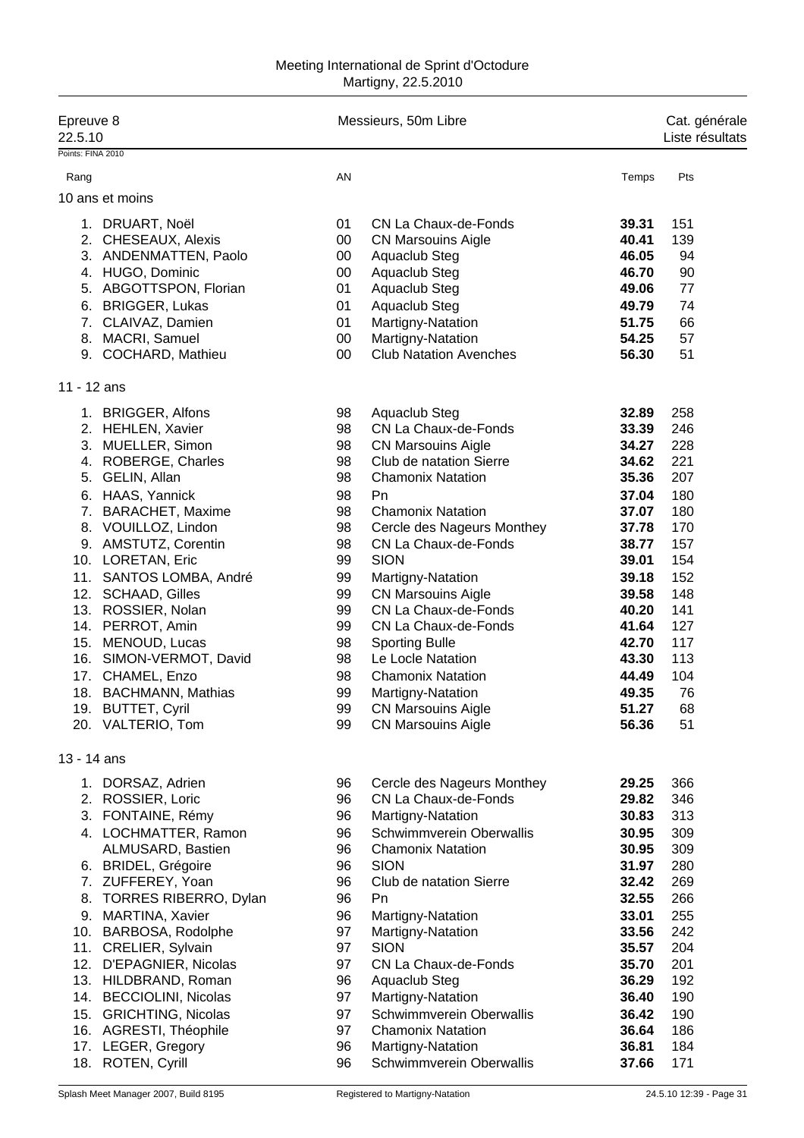#### Meeting International de Sprint d'Octodure Martigny, 22.5.2010

| Epreuve 8<br>22.5.10                            |          | Messieurs, 50m Libre                               |                |            |  |
|-------------------------------------------------|----------|----------------------------------------------------|----------------|------------|--|
| Points: FINA 2010                               |          |                                                    |                |            |  |
| Rang                                            | AN       |                                                    | Temps          | Pts        |  |
| 10 ans et moins                                 |          |                                                    |                |            |  |
| 1. DRUART, Noël                                 | 01       | CN La Chaux-de-Fonds                               | 39.31          | 151        |  |
| 2. CHESEAUX, Alexis                             | $00\,$   | <b>CN Marsouins Aigle</b>                          | 40.41          | 139        |  |
| 3. ANDENMATTEN, Paolo                           | 00       | Aquaclub Steg                                      | 46.05          | 94         |  |
| 4. HUGO, Dominic                                | 00       | Aquaclub Steg                                      | 46.70          | 90         |  |
| 5. ABGOTTSPON, Florian                          | 01       | Aquaclub Steg                                      | 49.06          | 77         |  |
| 6. BRIGGER, Lukas<br>7. CLAIVAZ, Damien         | 01<br>01 | Aquaclub Steg<br>Martigny-Natation                 | 49.79<br>51.75 | 74<br>66   |  |
| 8. MACRI, Samuel                                | 00       | Martigny-Natation                                  | 54.25          | 57         |  |
| 9. COCHARD, Mathieu                             | 00       | <b>Club Natation Avenches</b>                      | 56.30          | 51         |  |
|                                                 |          |                                                    |                |            |  |
| $11 - 12$ ans                                   |          |                                                    |                |            |  |
| 1. BRIGGER, Alfons                              | 98       | Aquaclub Steg                                      | 32.89          | 258        |  |
| 2. HEHLEN, Xavier                               | 98       | CN La Chaux-de-Fonds                               | 33.39          | 246        |  |
| 3. MUELLER, Simon                               | 98       | <b>CN Marsouins Aigle</b>                          | 34.27          | 228        |  |
| 4. ROBERGE, Charles                             | 98       | Club de natation Sierre                            | 34.62          | 221        |  |
| 5. GELIN, Allan                                 | 98       | <b>Chamonix Natation</b>                           | 35.36          | 207        |  |
| 6. HAAS, Yannick                                | 98       | Pn                                                 | 37.04          | 180        |  |
| 7. BARACHET, Maxime                             | 98       | <b>Chamonix Natation</b>                           | 37.07          | 180        |  |
| 8. VOUILLOZ, Lindon<br>9. AMSTUTZ, Corentin     | 98<br>98 | Cercle des Nageurs Monthey<br>CN La Chaux-de-Fonds | 37.78<br>38.77 | 170<br>157 |  |
| 10. LORETAN, Eric                               | 99       | <b>SION</b>                                        | 39.01          | 154        |  |
| 11. SANTOS LOMBA, André                         | 99       | Martigny-Natation                                  | 39.18          | 152        |  |
| 12. SCHAAD, Gilles                              | 99       | <b>CN Marsouins Aigle</b>                          | 39.58          | 148        |  |
| 13. ROSSIER, Nolan                              | 99       | CN La Chaux-de-Fonds                               | 40.20          | 141        |  |
| 14. PERROT, Amin                                | 99       | CN La Chaux-de-Fonds                               | 41.64          | 127        |  |
| 15. MENOUD, Lucas                               | 98       | <b>Sporting Bulle</b>                              | 42.70          | 117        |  |
| 16. SIMON-VERMOT, David                         | 98       | Le Locle Natation                                  | 43.30          | 113        |  |
| 17. CHAMEL, Enzo                                | 98       | <b>Chamonix Natation</b>                           | 44.49          | 104        |  |
| 18. BACHMANN, Mathias                           | 99       | Martigny-Natation                                  | 49.35          | 76         |  |
| 19. BUTTET, Cyril                               | 99       | <b>CN Marsouins Aigle</b>                          | 51.27          | 68         |  |
| 20. VALTERIO, Tom                               | 99       | <b>CN Marsouins Aigle</b>                          | 56.36          | 51         |  |
| 13 - 14 ans                                     |          |                                                    |                |            |  |
| 1. DORSAZ, Adrien                               | 96       | Cercle des Nageurs Monthey                         | 29.25          | 366        |  |
| 2. ROSSIER, Loric                               | 96       | CN La Chaux-de-Fonds                               | 29.82          | 346        |  |
| 3. FONTAINE, Rémy                               | 96       | Martigny-Natation                                  | 30.83          | 313        |  |
| 4. LOCHMATTER, Ramon                            | 96       | Schwimmverein Oberwallis                           | 30.95          | 309        |  |
| ALMUSARD, Bastien                               | 96       | <b>Chamonix Natation</b>                           | 30.95          | 309        |  |
| 6. BRIDEL, Grégoire                             | 96       | <b>SION</b>                                        | 31.97          | 280        |  |
| 7. ZUFFEREY, Yoan                               | 96       | Club de natation Sierre                            | 32.42          | 269        |  |
| 8. TORRES RIBERRO, Dylan                        | 96       | Pn                                                 | 32.55          | 266        |  |
| 9. MARTINA, Xavier                              | 96       | Martigny-Natation                                  | 33.01          | 255        |  |
| 10. BARBOSA, Rodolphe                           | 97       | Martigny-Natation                                  | 33.56          | 242        |  |
| 11. CRELIER, Sylvain                            | 97<br>97 | <b>SION</b><br>CN La Chaux-de-Fonds                | 35.57<br>35.70 | 204<br>201 |  |
| 12. D'EPAGNIER, Nicolas<br>13. HILDBRAND, Roman | 96       | Aquaclub Steg                                      | 36.29          | 192        |  |
| 14. BECCIOLINI, Nicolas                         | 97       | Martigny-Natation                                  | 36.40          | 190        |  |
| 15. GRICHTING, Nicolas                          | 97       | Schwimmverein Oberwallis                           | 36.42          | 190        |  |
| 16. AGRESTI, Théophile                          | 97       | <b>Chamonix Natation</b>                           | 36.64          | 186        |  |
| 17. LEGER, Gregory                              | 96       | Martigny-Natation                                  | 36.81          | 184        |  |
| 18. ROTEN, Cyrill                               | 96       | Schwimmverein Oberwallis                           | 37.66          | 171        |  |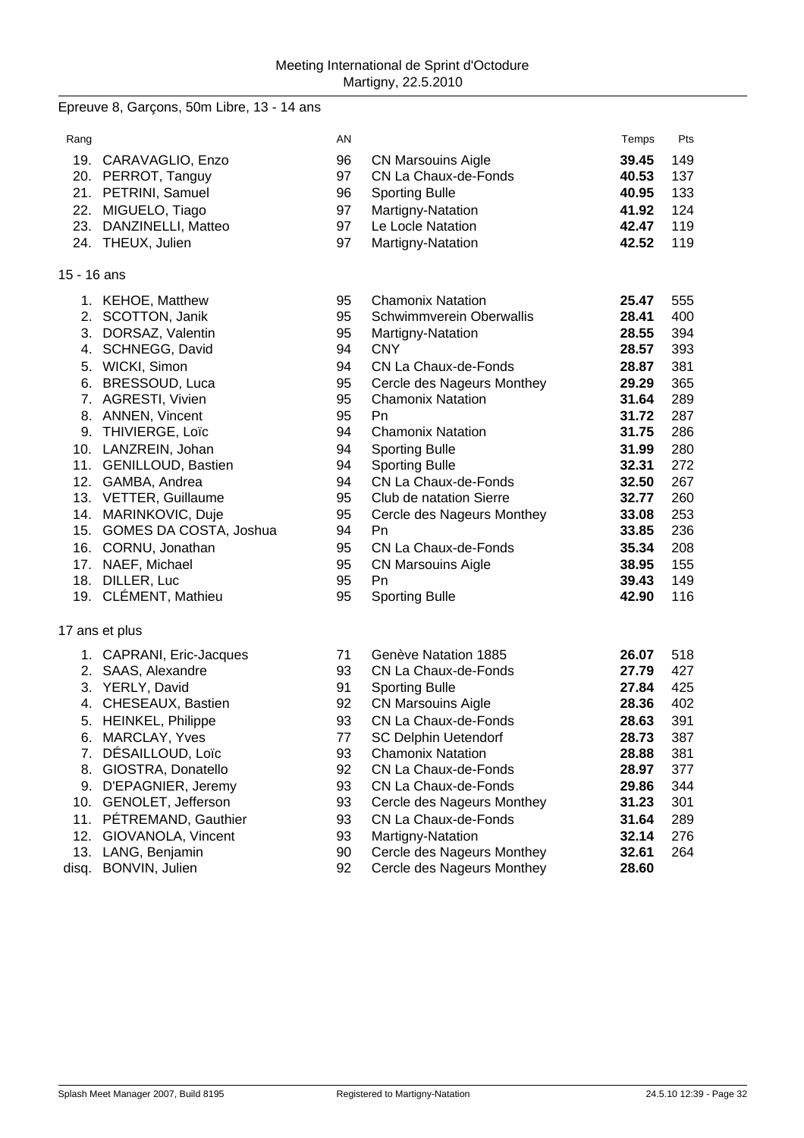### Epreuve 8, Garçons, 50m Libre, 13 - 14 ans

| Rang        |                            | AN |                                 | Temps | Pts |
|-------------|----------------------------|----|---------------------------------|-------|-----|
|             | 19. CARAVAGLIO, Enzo       | 96 | <b>CN Marsouins Aigle</b>       | 39.45 | 149 |
|             | 20. PERROT, Tanguy         | 97 | CN La Chaux-de-Fonds            | 40.53 | 137 |
|             | 21. PETRINI, Samuel        | 96 | <b>Sporting Bulle</b>           | 40.95 | 133 |
|             | 22. MIGUELO, Tiago         | 97 | Martigny-Natation               | 41.92 | 124 |
|             | 23. DANZINELLI, Matteo     | 97 | Le Locle Natation               | 42.47 | 119 |
|             | 24. THEUX, Julien          | 97 | Martigny-Natation               | 42.52 | 119 |
|             |                            |    |                                 |       |     |
| 15 - 16 ans |                            |    |                                 |       |     |
|             | 1. KEHOE, Matthew          | 95 | <b>Chamonix Natation</b>        | 25.47 | 555 |
|             | 2. SCOTTON, Janik          | 95 | <b>Schwimmverein Oberwallis</b> | 28.41 | 400 |
|             | 3. DORSAZ, Valentin        | 95 | Martigny-Natation               | 28.55 | 394 |
|             | 4. SCHNEGG, David          | 94 | <b>CNY</b>                      | 28.57 | 393 |
|             | 5. WICKI, Simon            | 94 | CN La Chaux-de-Fonds            | 28.87 | 381 |
|             | 6. BRESSOUD, Luca          | 95 | Cercle des Nageurs Monthey      | 29.29 | 365 |
|             | 7. AGRESTI, Vivien         | 95 | <b>Chamonix Natation</b>        | 31.64 | 289 |
|             | 8. ANNEN, Vincent          | 95 | Pn                              | 31.72 | 287 |
|             | 9. THIVIERGE, Loïc         | 94 | <b>Chamonix Natation</b>        | 31.75 | 286 |
|             | 10. LANZREIN, Johan        | 94 | <b>Sporting Bulle</b>           | 31.99 | 280 |
|             | 11. GENILLOUD, Bastien     | 94 | <b>Sporting Bulle</b>           | 32.31 | 272 |
|             | 12. GAMBA, Andrea          | 94 | CN La Chaux-de-Fonds            | 32.50 | 267 |
|             | 13. VETTER, Guillaume      | 95 | Club de natation Sierre         | 32.77 | 260 |
|             | 14. MARINKOVIC, Duje       | 95 | Cercle des Nageurs Monthey      | 33.08 | 253 |
|             | 15. GOMES DA COSTA, Joshua | 94 | <b>Pn</b>                       | 33.85 | 236 |
|             | 16. CORNU, Jonathan        | 95 | CN La Chaux-de-Fonds            | 35.34 | 208 |
|             | 17. NAEF, Michael          | 95 | <b>CN Marsouins Aigle</b>       | 38.95 | 155 |
|             | 18. DILLER, Luc            | 95 | <b>Pn</b>                       | 39.43 | 149 |
|             | 19. CLÉMENT, Mathieu       | 95 | <b>Sporting Bulle</b>           | 42.90 | 116 |
|             | 17 ans et plus             |    |                                 |       |     |
|             | 1. CAPRANI, Eric-Jacques   | 71 | Genève Natation 1885            | 26.07 | 518 |
|             | 2. SAAS, Alexandre         | 93 | CN La Chaux-de-Fonds            | 27.79 | 427 |
|             | 3. YERLY, David            | 91 | <b>Sporting Bulle</b>           | 27.84 | 425 |
|             | 4. CHESEAUX, Bastien       | 92 | <b>CN Marsouins Aigle</b>       | 28.36 | 402 |
|             | 5. HEINKEL, Philippe       | 93 | CN La Chaux-de-Fonds            | 28.63 | 391 |
|             | 6. MARCLAY, Yves           | 77 | <b>SC Delphin Uetendorf</b>     | 28.73 | 387 |
|             | 7. DÉSAILLOUD, Loïc        | 93 | <b>Chamonix Natation</b>        | 28.88 | 381 |
| 8.          | GIOSTRA, Donatello         | 92 | CN La Chaux-de-Fonds            | 28.97 | 377 |
|             | 9. D'EPAGNIER, Jeremy      | 93 | CN La Chaux-de-Fonds            | 29.86 | 344 |
| 10.         | GENOLET, Jefferson         | 93 | Cercle des Nageurs Monthey      | 31.23 | 301 |
| 11.         | PÉTREMAND, Gauthier        | 93 | CN La Chaux-de-Fonds            | 31.64 | 289 |
|             | 12. GIOVANOLA, Vincent     | 93 | Martigny-Natation               | 32.14 | 276 |
|             | 13. LANG, Benjamin         | 90 | Cercle des Nageurs Monthey      | 32.61 | 264 |
| disq.       | BONVIN, Julien             | 92 | Cercle des Nageurs Monthey      | 28.60 |     |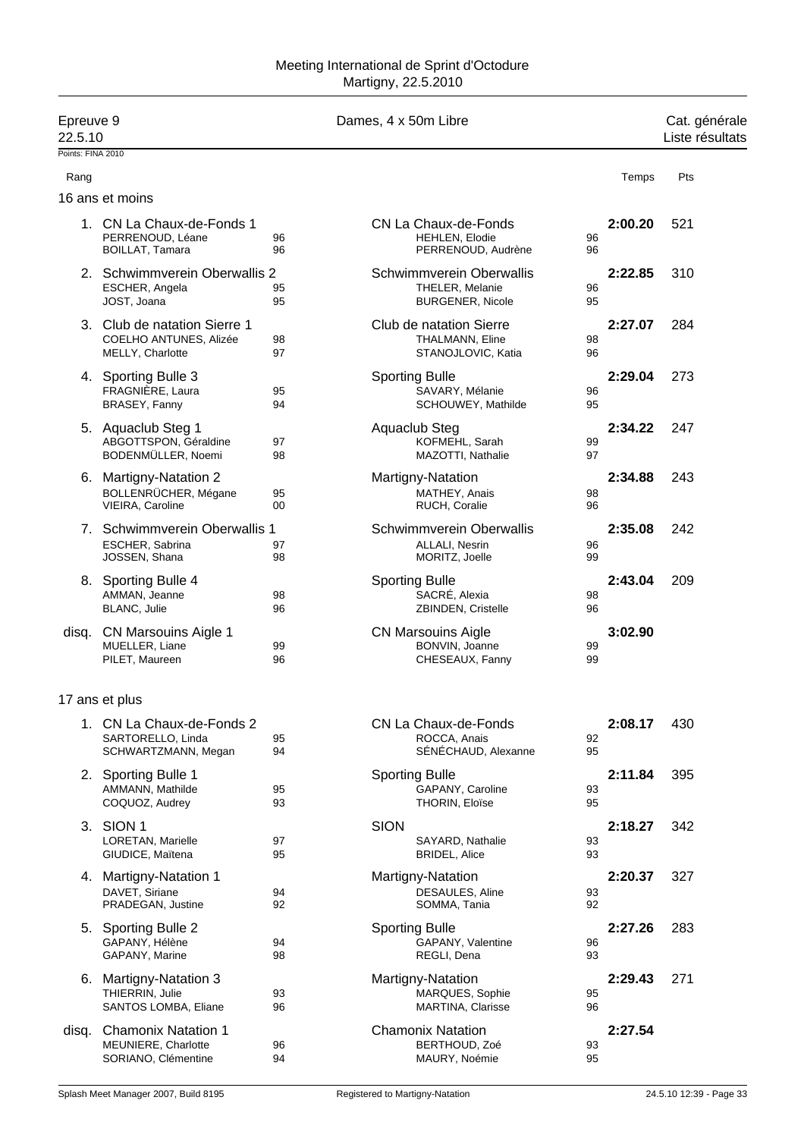| Epreuve 9<br>22.5.10 |                                                                            |          |             | Dames, 4 x 50m Libre                                                          |          |         | Cat. générale<br>Liste résultats |
|----------------------|----------------------------------------------------------------------------|----------|-------------|-------------------------------------------------------------------------------|----------|---------|----------------------------------|
| Points: FINA 2010    |                                                                            |          |             |                                                                               |          |         |                                  |
| Rang                 |                                                                            |          |             |                                                                               |          | Temps   | Pts                              |
|                      | 16 ans et moins                                                            |          |             |                                                                               |          |         |                                  |
|                      | 1. CN La Chaux-de-Fonds 1<br>PERRENOUD, Léane<br><b>BOILLAT, Tamara</b>    | 96<br>96 |             | CN La Chaux-de-Fonds<br><b>HEHLEN, Elodie</b><br>PERRENOUD, Audrène           | 96<br>96 | 2:00.20 | 521                              |
|                      | 2. Schwimmverein Oberwallis 2<br>ESCHER, Angela<br>JOST, Joana             | 95<br>95 |             | <b>Schwimmverein Oberwallis</b><br>THELER, Melanie<br><b>BURGENER, Nicole</b> | 96<br>95 | 2:22.85 | 310                              |
|                      | 3. Club de natation Sierre 1<br>COELHO ANTUNES, Alizée<br>MELLY, Charlotte | 98<br>97 |             | Club de natation Sierre<br>THALMANN, Eline<br>STANOJLOVIC, Katia              | 98<br>96 | 2:27.07 | 284                              |
|                      | 4. Sporting Bulle 3<br>FRAGNIÈRE, Laura<br>BRASEY, Fanny                   | 95<br>94 |             | <b>Sporting Bulle</b><br>SAVARY, Mélanie<br>SCHOUWEY, Mathilde                | 96<br>95 | 2:29.04 | 273                              |
|                      | 5. Aquaclub Steg 1<br>ABGOTTSPON, Géraldine<br>BODENMÜLLER, Noemi          | 97<br>98 |             | Aquaclub Steg<br>KOFMEHL, Sarah<br>MAZOTTI, Nathalie                          | 99<br>97 | 2:34.22 | 247                              |
|                      | 6. Martigny-Natation 2<br>BOLLENRÜCHER, Mégane<br>VIEIRA, Caroline         | 95<br>00 |             | Martigny-Natation<br>MATHEY, Anais<br>RUCH, Coralie                           | 98<br>96 | 2:34.88 | 243                              |
|                      | 7. Schwimmverein Oberwallis 1<br>ESCHER, Sabrina<br>JOSSEN, Shana          | 97<br>98 |             | Schwimmverein Oberwallis<br>ALLALI, Nesrin<br>MORITZ, Joelle                  | 96<br>99 | 2:35.08 | 242                              |
|                      | 8. Sporting Bulle 4<br>AMMAN, Jeanne<br>BLANC, Julie                       | 98<br>96 |             | <b>Sporting Bulle</b><br>SACRÉ, Alexia<br>ZBINDEN, Cristelle                  | 98<br>96 | 2:43.04 | 209                              |
| disq.                | CN Marsouins Aigle 1<br>MUELLER, Liane<br>PILET, Maureen                   | 99<br>96 |             | <b>CN Marsouins Aigle</b><br>BONVIN, Joanne<br>CHESEAUX, Fanny                | 99<br>99 | 3:02.90 |                                  |
|                      | 17 ans et plus                                                             |          |             |                                                                               |          |         |                                  |
|                      | 1. CN La Chaux-de-Fonds 2<br>SARTORELLO, Linda<br>SCHWARTZMANN, Megan      | 95<br>94 |             | CN La Chaux-de-Fonds<br>ROCCA, Anais<br>SÉNÉCHAUD, Alexanne                   | 92<br>95 | 2:08.17 | 430                              |
|                      | 2. Sporting Bulle 1<br>AMMANN, Mathilde<br>COQUOZ, Audrey                  | 95<br>93 |             | <b>Sporting Bulle</b><br>GAPANY, Caroline<br>THORIN, Eloïse                   | 93<br>95 | 2:11.84 | 395                              |
|                      | 3. SION 1<br>LORETAN, Marielle<br>GIUDICE, Maïtena                         | 97<br>95 | <b>SION</b> | SAYARD, Nathalie<br><b>BRIDEL, Alice</b>                                      | 93<br>93 | 2:18.27 | 342                              |
|                      | 4. Martigny-Natation 1<br>DAVET, Siriane<br>PRADEGAN, Justine              | 94<br>92 |             | Martigny-Natation<br>DESAULES, Aline<br>SOMMA, Tania                          | 93<br>92 | 2:20.37 | 327                              |
|                      | 5. Sporting Bulle 2<br>GAPANY, Hélène<br>GAPANY, Marine                    | 94<br>98 |             | <b>Sporting Bulle</b><br>GAPANY, Valentine<br>REGLI, Dena                     | 96<br>93 | 2:27.26 | 283                              |
|                      | 6. Martigny-Natation 3<br>THIERRIN, Julie<br>SANTOS LOMBA, Eliane          | 93<br>96 |             | Martigny-Natation<br>MARQUES, Sophie<br><b>MARTINA, Clarisse</b>              | 95<br>96 | 2:29.43 | 271                              |
| disq.                | <b>Chamonix Natation 1</b><br>MEUNIERE, Charlotte<br>SORIANO, Clémentine   | 96<br>94 |             | <b>Chamonix Natation</b><br>BERTHOUD, Zoé<br>MAURY, Noémie                    | 93<br>95 | 2:27.54 |                                  |